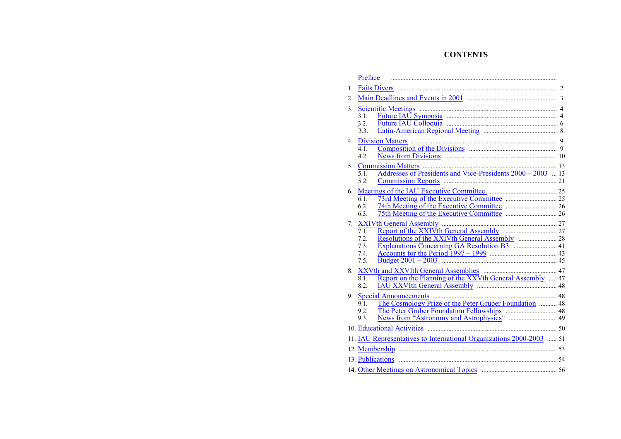## **CONTENTS**

|             | Preface                                                                                                |  |  |
|-------------|--------------------------------------------------------------------------------------------------------|--|--|
| 1.          |                                                                                                        |  |  |
| 2.          |                                                                                                        |  |  |
| 3.          | 3.1.<br>3.2<br>3.3.                                                                                    |  |  |
| $4_{\cdot}$ | <b>Division Matters</b><br>4.1.<br>4.2.                                                                |  |  |
| 5.          | <b>Commission Matters</b><br>Addresses of Presidents and Vice-Presidents 2000 – 2003  13<br>51<br>5.2. |  |  |
| 6.          | 6.1.<br>6.2.<br>6.3.                                                                                   |  |  |
| 7.          | 71<br>7.2.<br>7.3.<br>7.4<br>7.5.                                                                      |  |  |
| 8.          | Report on the Planning of the XXVth General Assembly  47<br>8.1.<br>8.2.                               |  |  |
| 9.          | The Cosmology Prize of the Peter Gruber Foundation  48<br>9.1.<br>9.2.<br>93                           |  |  |
|             | 10. Educational Activities                                                                             |  |  |
|             | 11. IAU Representatives to International Organizations 2000-2003  51                                   |  |  |
|             |                                                                                                        |  |  |
|             | 13. Publications                                                                                       |  |  |
|             |                                                                                                        |  |  |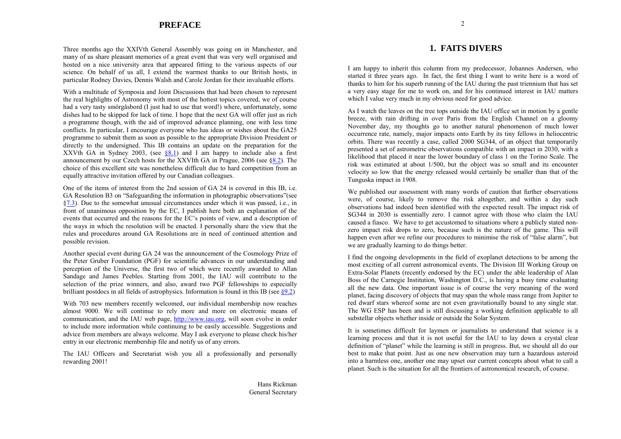## **PREFACE**

<span id="page-1-1"></span><span id="page-1-0"></span>Three months ago the XXIVth General Assembly was going on in Manchester, and many of us share pleasant memories of a great event that was very well organised and hosted on a nice university area that appeared fitting to the various aspects of our science. On behalf of us all, I extend the warmest thanks to our British hosts, in particular Rodney Davies, Dennis Walsh and Carole Jordan for their invaluable efforts.

With a multitude of Symposia and Joint Discussions that had been chosen to represent the real highlights of Astronomy with most of the hottest topics covered, we of course had a very tasty smörgåsbord (I just had to use that word!) where, unfortunately, some dishes had to be skipped for lack of time. I hope that the next GA will offer just as rich a programme though, with the aid of improved advance planning, one with less time conflicts. In particular, I encourage everyone who has ideas or wishes about the GA25 programme to submit them as soon as possible to the appropriate Division President or directly to the undersigned. This IB contains an update on the preparation for the XXVth GA in Sydney 2003, (see [ß8.1\)](#page-24-0) and I am happy to include also a first announcement by our Czech hosts for the XXVIth GA in Prague, 2006 (see  $88.2$ ). The choice of this excellent site was nonetheless difficult due to hard competition from an equally attractive invitation offered by our Canadian colleagues.

One of the items of interest from the 2nd session of GA 24 is covered in this IB, i.e. GA Resolution B3 on "Safeguarding the information in photographic observations" (see [ß7.3\).](#page-21-0) Due to the somewhat unusual circumstances under which it was passed, i.e., in front of unanimous opposition by the EC, I publish here both an explanation of the events that occurred and the reasons for the EC's points of view, and a description of the ways in which the resolution will be enacted. I personally share the view that the rules and procedures around GA Resolutions are in need of continued attention and possible revision.

Another special event during GA 24 was the announcement of the Cosmology Prize of the Peter Gruber Foundation (PGF) for scientific advances in our understanding and perception of the Universe, the first two of which were recently awarded to Allan Sandage and James Peebles. Starting from 2001, the IAU will contribute to the selection of the prize winners, and also, award two PGF fellowships to especially brilliant postdocs in all fields of astrophysics. Information is found in this IB (see  $\S 9.2$ )

With 703 new members recently welcomed, our individual membership now reaches almost 9000. We will continue to rely more and more on electronic means of communication, and the IAU web page, [http://www.iau.org, w](http://www.iau.org)ill soon evolve in order to include more information while continuing to be easily accessible. Suggestions and advice from members are always welcome. May I ask everyone to please check his/her entry in our electronic membership file and notify us of any errors.

The IAU Officers and Secretariat wish you all a professionally and personally rewarding 2001!

## **1. FAITS DIVERS**

I am happy to inherit this column from my predecessor, Johannes Andersen, who started it three years ago. In fact, the first thing I want to write here is a word of thanks to him for his superb running of the IAU during the past triennium that has set a very easy stage for me to work on, and for his continued interest in IAU matters which I value very much in my obvious need for good advice.

As I watch the leaves on the tree tops outside the IAU office set in motion by a gentle breeze, with rain drifting in over Paris from the English Channel on a gloomy November day, my thoughts go to another natural phenomenon of much lower occurrence rate, namely, major impacts onto Earth by its tiny fellows in heliocentric orbits. There was recently a case, called 2000 SG344, of an object that temporarily presented a set of astrometric observations compatible with an impact in 2030, with a likelihood that placed it near the lower boundary of class 1 on the Torino Scale. The risk was estimated at about 1/500, but the object was so small and its encounter velocity so low that the energy released would certainly be smaller than that of the Tunguska impact in 1908.

We published our assessment with many words of caution that further observations were, of course, likely to remove the risk altogether, and within a day such observations had indeed been identified with the expected result. The impact risk of SG344 in 2030 is essentially zero. I cannot agree with those who claim the IAU caused a fiasco. We have to get accustomed to situations where a publicly stated nonzero impact risk drops to zero, because such is the nature of the game. This will happen even after we refine our procedures to minimise the risk of "false alarm", but we are gradually learning to do things better.

I find the ongoing developments in the field of exoplanet detections to be among the most exciting of all current astronomical events. The Division III Working Group on Extra-Solar Planets (recently endorsed by the EC) under the able leadership of Alan Boss of the Carnegie Institution, Washington D.C., is having a busy time evaluating all the new data. One important issue is of course the very meaning of the word planet, facing discovery of objects that may span the whole mass range from Jupiter to red dwarf stars whereof some are not even gravitationally bound to any single star. The WG ESP has been and is still discussing a working definition applicable to all substellar objects whether inside or outside the Solar System.

It is sometimes difficult for laymen or journalists to understand that science is a learning process and that it is not useful for the IAU to lay down a crystal clear definition of "planet" while the learning is still in progress. But, we should all do our best to make that point. Just as one new observation may turn a hazardous asteroid into a harmless one, another one may upset our current concepts about what to call a planet. Such is the situation for all the frontiers of astronomical research, of course.

Hans RickmanGeneral Secretary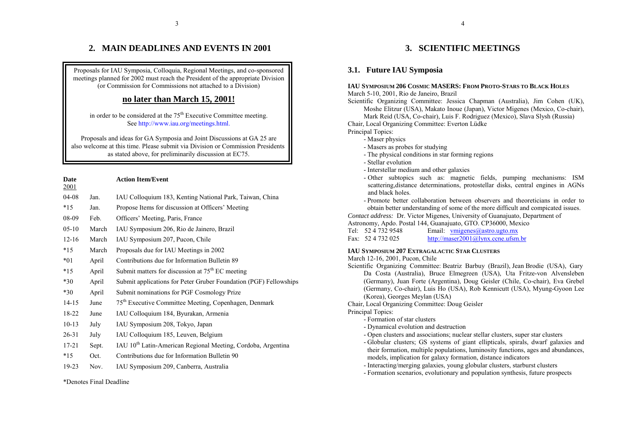## **2. MAIN DEADLINES AND EVENTS IN 2001**

<span id="page-2-0"></span>Proposals for IAU Symposia, Colloquia, Regional Meetings, and co-sponsored meetings planned for 2002 must reach the President of the appropriate Division (or Commission for Commissions not attached to <sup>a</sup> Division)

## **no later than March 15, 2001!**

in order to be considered at the  $75<sup>th</sup>$  Executive Committee meeting. See [http://www.iau.org/meetings.html.](http://www.iau.org/meetings.html)

Proposals and ideas for GA Symposia and Joint Discussions at GA 25 are also welcome at this time. Please submit via Division or Commission Presidents as stated above, for preliminarily discussion at EC75.

| <b>Date</b><br><u>2001</u> |       | <b>Action Item/Event</b>                                                 |
|----------------------------|-------|--------------------------------------------------------------------------|
| $04-08$                    | Jan.  | IAU Colloquium 183, Kenting National Park, Taiwan, China                 |
| $*15$                      | Jan.  | Propose Items for discussion at Officers' Meeting                        |
| 08-09                      | Feb.  | Officers' Meeting, Paris, France                                         |
| $05-10$                    | March | IAU Symposium 206, Rio de Jainero, Brazil                                |
| $12 - 16$                  | March | IAU Symposium 207, Pucon, Chile                                          |
| $*15$                      | March | Proposals due for IAU Meetings in 2002                                   |
| $*01$                      | April | Contributions due for Information Bulletin 89                            |
| $*15$                      | April | Submit matters for discussion at $75th EC$ meeting                       |
| $*30$                      | April | Submit applications for Peter Gruber Foundation (PGF) Fellowships        |
| $*30$                      | April | Submit nominations for PGF Cosmology Prize                               |
| $14 - 15$                  | June  | 75 <sup>th</sup> Executive Committee Meeting, Copenhagen, Denmark        |
| 18-22                      | June  | IAU Colloquium 184, Byurakan, Armenia                                    |
| $10-13$                    | July  | IAU Symposium 208, Tokyo, Japan                                          |
| $26 - 31$                  | July  | IAU Colloquium 185, Leuven, Belgium                                      |
| $17 - 21$                  | Sept. | IAU 10 <sup>th</sup> Latin-American Regional Meeting, Cordoba, Argentina |
| $*15$                      | Oct.  | Contributions due for Information Bulletin 90                            |
| 19-23                      | Nov.  | IAU Symposium 209, Canberra, Australia                                   |
|                            |       |                                                                          |

\*Denotes Final Deadline

## **3. SCIENTIFIC MEETINGS**

4

## **3.1. Future IAU Symposia**

#### **IAU SYMPOSIUM 206 COSMIC MASERS: FROM PROTO-STARS TO BLACK HOLES** March 5-10, 2001, Rio de Janeiro, Brazil

Scientific Organizing Committee: Jessica Chapman (Australia), Jim Cohen (UK), Moshe Elitzur (USA), Makato Inoue (Japan), Victor Migenes (Mexico, Co-chair),

Mark Reid (USA, Co-chair), Luis F. Rodriguez (Mexico), Slava Slysh (Russia) Chair, Local Organizing Committee: Everton Lüdke

Principal Topics:

- Maser physics
- Masers as probes for studying
- The physical conditions in star forming regions
- Stellar evolution
- Interstellar medium and other galaxies
- Other subtopics such as: magnetic fields, pumping mechanisms: ISM scattering,distance determinations, protostellar disks, central engines in AGNs and black holes.
- Promote better collaboration between observers and theoreticians in order to obtain better understanding of some of the more difficult and compicated issues.

*Contact address:* Dr. Victor Migenes, University of Guanajuato, Department of Astronomy, Apdo. Postal 144, Guanajuato, GTO. CP36000, Mexico

Tel: 52 4 732 9548 Email: [vmigenes@astro.ugto.mx](mailto:vmigenes@astro.ugto.mx) Fax: 52 4 732 025 <http://maser2001@lynx.ccne.ufsm.br>

## **IAU SYMPOSIUM 207 EXTRAGALACTIC STAR CLUSTERS**

March 12-16, 2001, Pucon, Chile

Scientific Organizing Committee: Beatriz Barbuy (Brazil), Jean Brodie (USA), Gary Da Costa (Australia), Bruce Elmegreen (USA), Uta Fritze-von Alvensleben (Germany), Juan Forte (Argentina), Doug Geisler (Chile, Co-chair), Eva Grebel (Germany, Co-chair), Luis Ho (USA), Rob Kennicutt (USA), Myung-Gyoon Lee (Korea), Georges Meylan (USA)

Chair, Local Organizing Committee: Doug Geisler

Principal Topics:

- Formation of star clusters
- Dynamical evolution and destruction
- Open clusters and associations; nuclear stellar clusters, super star clusters
- Globular clusters; GS systems of giant ellipticals, spirals, dwarf galaxies and their formation, multiple populations, luminosity functions, ages and abundances, models, implication for galaxy formation, distance indicators
- Interacting/merging galaxies, young globular clusters, starburst clusters
- Formation scenarios, evolutionary and population synthesis, future prospects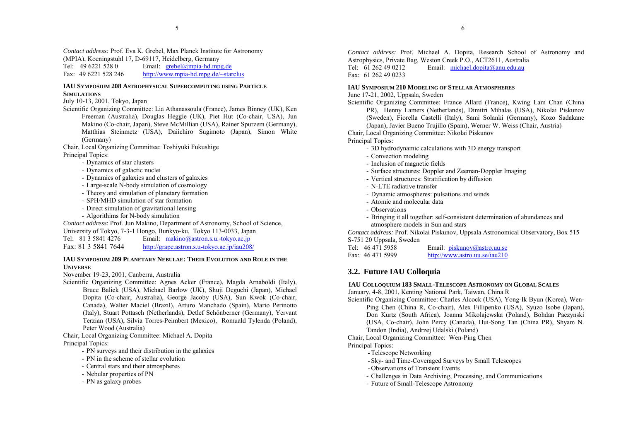<span id="page-3-0"></span>*Contact address:* Prof. Eva K. Grebel, Max Planck Institute for Astronomy (MPIA), Koeningstuhl 17, D-69117, Heidelberg, Germany

Tel:  $4962215280$  Email:  $grebel@mpia-hdmpg.de$ Fax: 49 6221 528 246<http://www.mpia-hd.mpg.de/~starclus>

## **IAU SYMPOSIUM 208 ASTROPHYSICAL SUPERCOMPUTING USING PARTICLESIMULATIONS**

July 10-13, 2001, Tokyo, Japan

Scientific Organizing Committee: Lia Athanassoula (France), James Binney (UK), Ken Freeman (Australia), Douglas Heggie (UK), Piet Hut (Co-chair, USA), Jun Makino (Co-chair, Japan), Steve McMillian (USA), Rainer Spurzem (Germany), Matthias Steinmetz (USA), Daiichiro Sugimoto (Japan), Simon White (Germany)

Chair, Local Organizing Committee: Toshiyuki Fukushige Principal Topics:

- Dynamics of star clusters
- Dynamics of galactic nuclei
- Dynamics of galaxies and clusters of galaxies
- Large-scale N-body simulation of cosmology
- Theory and simulation of planetary formation
- SPH/MHD simulation of star formation
- Direct simulation of gravitational lensing
- Algorithims for N-body simulation

*Contact address*: Prof. Jun Makino, Department of Astronomy, School of Science, University of Tokyo, 7-3-1 Hongo, Bunkyo-ku, Tokyo 113-0033, Japan

- Tel: 81 3 5841 4276 Email: [makino@astron.s.u.-tokyo.ac.jp](mailto:makino@astron.s.u.-tokyo.ac.jp)
- Fax: 81 3 5841 7644 <http://grape.astron.s.u-tokyo.ac.jp/iau208/>

## **IAU SYMPOSIUM 209 PLANETARY NEBULAE: THEIR EVOLUTION AND ROLE IN THEUNIVERSE**

November 19-23, 2001, Canberra, Australia

Scientific Organizing Committee: Agnes Acker (France), Magda Arnaboldi (Italy), Bruce Balick (USA), Michael Barlow (UK), Shuji Deguchi (Japan), Michael Dopita (Co-chair, Australia), George Jacoby (USA), Sun Kwok (Co-chair, Canada), Walter Maciel (Brazil), Arturo Manchado (Spain), Mario Perinotto (Italy), Stuart Pottasch (Netherlands), Detlef Schönberner (Germany), Yervant Terzian (USA), Silvia Torres-Peimbert (Mexico), Romuald Tylenda (Poland), Peter Wood (Australia)

Chair, Local Organizing Committee: Michael A. Dopita Principal Topics:

- PN surveys and their distribution in the galaxies
- PN in the scheme of stellar evolution
- Central stars and their atmospheres
- Nebular properties of PN
- PN as galaxy probes

*Contact address:* Prof. Michael A. Dopita, Research School of Astronomy and Astrophysics, Private Bag, Weston Creek P.O., ACT2611, Australia

Tel:  $61\ 262\ 49\ 0212$  Email: [michael.dopita@anu.edu.au](mailto:michael.dopita@anu.edu.au) Fax: 61 262 49 0233

## **IAU SYMPOSIUM 210 MODELING OF STELLAR ATMOSPHERES**

## June 17-21, 2002, Uppsala, Sweden

Scientific Organizing Committee: France Allard (France), Kwing Lam Chan (China PR), Henny Lamers (Netherlands), Dimitri Mihalas (USA), Nikolai Piskunov (Sweden), Fiorella Castelli (Italy), Sami Solanki (Germany), Kozo Sadakane (Japan), Javier Bueno Trujillo (Spain), Werner W. Weiss (Chair, Austria)

Chair, Local Organizing Committee: Nikolai Piskunov

Principal Topics:

- 3D hydrodynamic calculations with 3D energy transport
- Convection modeling
- Inclusion of magnetic fields
- Surface structures: Doppler and Zeeman-Doppler Imaging
- Vertical structures: Stratification by diffusion
- N-LTE radiative transfer
- Dynamic atmospheres: pulsations and winds
- Atomic and molecular data
- Observations
- Bringing it all together: self-consistent determination of abundances and atmosphere models in Sun and stars

*Contact address:* Prof. Nikolai Piskunov, Uppsala Astronomical Observatory, Box 515 S-751 20 Uppsala, Sweden

| Tel: 46 471 5958 | Email: $piskunov@astro.uu.se$ |
|------------------|-------------------------------|
| Fax: 46 471 5999 | http://www.astro.uu.se/iau210 |

## **3.2. Future IAU Colloquia**

## **IAU COLLOQUIUM 183 SMALL-TELESCOPE ASTRONOMY ON GLOBAL SCALES**

January, 4-8, 2001, Kenting National Park, Taiwan, China R

Scientific Organizing Committee: Charles Alcock (USA), Yong-Ik Byun (Korea), Wen-Ping Chen (China R, Co-chair), Alex Fillipenko (USA), Syuzo Isobe (Japan), Don Kurtz (South Africa), Joanna Mikolajewska (Poland), Bohdan Paczynski (USA, Co-chair), John Percy (Canada), Hui-Song Tan (China PR), Shyam N.

Tandon (India), Andrzej Udalski (Poland)

Chair, Local Organizing Committee: Wen-Ping Chen

Principal Topics:

- Telescope Networking
- Sky- and Time-Coveraged Surveys by Small Telescopes
- Observations of Transient Events
- Challenges in Data Archiving, Processing, and Communications
- Future of Small-Telescope Astronomy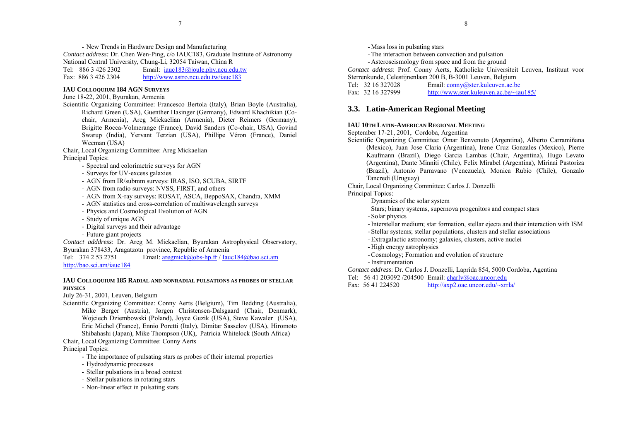<span id="page-4-0"></span>- New Trends in Hardware Design and Manufacturing *Contact address:* Dr. Chen Wen-Ping, c/o IAUC183, Graduate Institute of Astronomy National Central University, Chung-Li, 32054 Taiwan, China R Tel:  $88634262302$  Email:  $i \text{auc183} \text{ (a)}$  joule.phy.ncu.edu.tw Fax: 886 3 426 2304<http://www.astro.ncu.edu.tw/iauc183>

## **IAU COLLOQUIUM 184 AGN SURVEYS**

## June 18-22, 2001, Byurakan, Armenia

Scientific Organizing Committee: Francesco Bertola (Italy), Brian Boyle (Australia), Richard Green (USA), Guenther Hasinger (Germany), Edward Khachikian (Cochair, Armenia), Areg Mickaelian (Armenia), Dieter Reimers (Germany), Brigitte Rocca-Volmerange (France), David Sanders (Co-chair, USA), Govind Swarup (India), Yervant Terzian (USA), Phillipe Véron (France), Daniel Weeman (USA)

Chair, Local Organizing Committee: Areg Mickaelian Principal Topics:

- Spectral and colorimetric surveys for AGN
- Surveys for UV-excess galaxies
- AGN from IR/submm surveys: IRAS, ISO, SCUBA, SIRTF
- AGN from radio surveys: NVSS, FIRST, and others
- AGN from X-ray surveys: ROSAT, ASCA, BeppoSAX, Chandra, XMM
- AGN statistics and cross-correlation of multiwavelength surveys
- Physics and Cosmological Evolution of AGN
- Study of unique AGN
- Digital surveys and their advantage
- Future giant projects

*Contact adddress*: Dr. Areg M. Mickaelian, Byurakan Astrophysical Observatory, Byurakan 378433, Aragatzotn province, Republic of Armenia<br>Tel: 374 2 53 2751 Email: aregmick@obs-hp.fr / Jau

Email:  $aregmick@obs-hp.fr / Iauc184@bao.sci-am$  $aregmick@obs-hp.fr / Iauc184@bao.sci-am$ <http://bao.sci.am/iauc184>

## **IAU COLLOQUIUM 185 RADIAL AND NONRADIAL PULSATIONS AS PROBES OF STELLAR PHYSICS**

July 26-31, 2001, Leuven, Belgium

Scientific Organizing Committee: Conny Aerts (Belgium), Tim Bedding (Australia), Mike Berger (Austria), Jørgen Christensen-Dalsgaard (Chair, Denmark), Wojciech Dziembowski (Poland), Joyce Guzik (USA), Steve Kawaler (USA), Eric Michel (France), Ennio Poretti (Italy), Dimitar Sasselov (USA), Hiromoto Shibahashi (Japan), Mike Thompson (UK), Patricia Whitelock (South Africa)

Chair, Local Organizing Committee: Conny Aerts

Principal Topics:

- The importance of pulsating stars as probes of their internal properties
- Hydrodynamic processes
- Stellar pulsations in a broad context
- Stellar pulsations in rotating stars
- Non-linear effect in pulsating stars
- Mass loss in pulsating stars
- The interaction between convection and pulsation
- Asteroseismology from space and from the ground

*Contact address*: Prof. Conny Aerts, Katholieke Universiteit Leuven, Instituut voor Sterrenkunde, Celestijnenlaan 200 B, B-3001 Leuven, Belgium

Tel: 32 16 327028 Email: [conny@ster.kuleuven.ac.be](mailto:conny@ster.kuleuven.ac.be) Fax: 32 16 327999<http://www.ster.kuleuven.ac.be/~iau185/>

## **3.3. Latin-American Regional Meeting**

## **IAU 10TH LATIN-AMERICAN REGIONAL MEETING**

September 17-21, 2001, Cordoba, Argentina

Scientific Organizing Committee: Omar Benvenuto (Argentina), Alberto Carramiñana (Mexico), Juan Jose Claria (Argentina), Irene Cruz Gonzales (Mexico), Pierre Kaufmann (Brazil), Diego Garcia Lambas (Chair, Argentina), Hugo Levato (Argentina), Dante Minniti (Chile), Felix Mirabel (Argentina), Mirinai Pastoriza (Brazil), Antonio Parravano (Venezuela), Monica Rubio (Chile), Gonzalo Tancredi (Uruguay)

Chair, Local Organizing Committee: Carlos J. Donzelli

Principal Topics:

Dynamics of the solar system

- Stars; binary systems, supernova progenitors and compact stars
- Solar physics
- Interstellar medium; star formation, stellar ejecta and their interaction with ISM
- Stellar systems; stellar populations, clusters and stellar associations
- Extragalactic astronomy; galaxies, clusters, active nuclei
- High energy astrophysics
- Cosmology; Formation and evolution of structure
- Instrumentation

*Contact address*: Dr. Carlos J. Donzelli, Laprida 854, 5000 Cordoba, Agentina

Tel: 56 41 203092 /204500 Email: [charly@oac.uncor.edu](mailto:charly@oac.uncor.edu)

Fax: 56 41 224520<http://axp2.oac.uncor.edu/~xrrla/>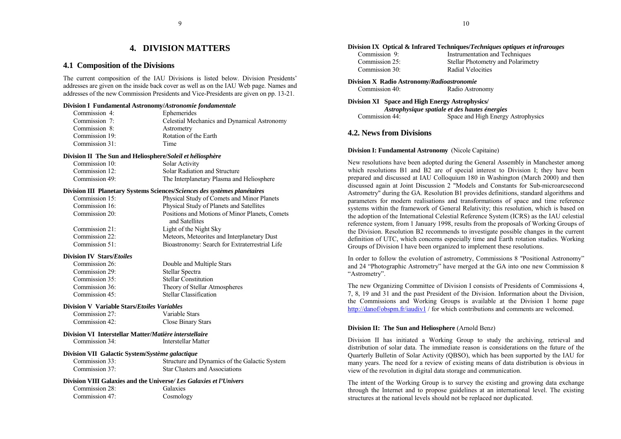## **4. DIVISION MATTERS**

## <span id="page-5-0"></span>**4.1 Composition of the Divisions**

The current composition of the IAU Divisions is listed below. Division Presidentsí addresses are given on the inside back cover as well as on the IAU Web page. Names and addresses of the new Commission Presidents and Vice-Presidents are given on pp. 13-21.

## **Division I Fundamental Astronomy/***Astronomie fondamentale*

| Commission 4:  | Ephemerides                                 |
|----------------|---------------------------------------------|
| Commission 7:  | Celestial Mechanics and Dynamical Astronomy |
| Commission 8:  | Astrometry                                  |
| Commission 19: | Rotation of the Earth                       |
| Commission 31: | Time                                        |

#### **Division II The Sun and Heliosphere/***Soleil et héliosphère*

| Commission 10: | Solar Activity                            |
|----------------|-------------------------------------------|
| Commission 12: | Solar Radiation and Structure             |
| Commission 49: | The Interplanetary Plasma and Heliosphere |

#### **Division III Planetary Systems Sciences/***Sciences des systèmes planétaires*

| Commission 15: | Physical Study of Comets and Minor Planets     |
|----------------|------------------------------------------------|
| Commission 16: | Physical Study of Planets and Satellites       |
| Commission 20: | Positions and Motions of Minor Planets, Comets |
|                | and Satellites                                 |
| Commission 21: | Light of the Night Sky                         |
| Commission 22: | Meteors, Meteorites and Interplanetary Dust    |
| Commission 51: | Bioastronomy: Search for Extraterrestrial Life |
|                |                                                |

## **Division IV Stars/***Etoiles*

| Commission 26: | Double and Multiple Stars     |
|----------------|-------------------------------|
| Commission 29: | Stellar Spectra               |
| Commission 35: | <b>Stellar Constitution</b>   |
| Commission 36: | Theory of Stellar Atmospheres |
| Commission 45: | <b>Stellar Classification</b> |

## **Division V Variable Stars/***Etoiles Variables*

| Commission 27: | Variable Stars     |
|----------------|--------------------|
| Commission 42: | Close Binary Stars |

## **Division VI Interstellar Matter/***Matière interstellaire*Commission 34: Interstellar Matter

### **Division VII Galactic System/***Système galactique*

Commission 33: Structure and Dynamics of the Galactic System Commission 37: Star Clusters and Associations

## **Division VIII Galaxies and the Universe***/ Les Galaxies et l'Univers*

| Commission 28: |  |
|----------------|--|
| Commission 47: |  |

**Galaxies** Cosmology

#### **Division IX Optical & Infrared Techniques/***Techniques optiques et infrarouges***<br>Commission 9: <b>Instrumentation and Techniques** Instrumentation and Techniques

| $\sim$         | mon annontanon and recumques       |
|----------------|------------------------------------|
| Commission 25: | Stellar Photometry and Polarimetry |
| Commission 30: | Radial Velocities                  |

## **Division X Radio Astronomy/***Radioastronomie*

Commission 40: Radio Astronomy

## **Division XI Space and High Energy Astrophysics/**

*Astrophysique spatiale et des hautes énergies* Commission 44: Space and High Energy Astrophysics

## **4.2. News from Divisions**

## **Division I: Fundamental Astronomy** (Nicole Capitaine)

New resolutions have been adopted during the General Assembly in Manchester among which resolutions B1 and B2 are of special interest to Division I; they have been prepared and discussed at IAU Colloquium 180 in Washington (March 2000) and then discussed again at Joint Discussion 2 "Models and Constants for Sub-microarcsecond Astrometry" during the GA. Resolution B1 provides definitions, standard algorithms and parameters for modern realisations and transformations of space and time reference systems within the framework of General Relativity; this resolution, which is based on the adoption of the International Celestial Reference System (ICRS) as the IAU celestial reference system, from 1 January 1998, results from the proposals of Working Groups of the Division. Resolution B2 recommends to investigate possible changes in the current definition of UTC, which concerns especially time and Earth rotation studies. Working Groups of Division I have been organized to implement these resolutions.

In order to follow the evolution of astrometry, Commissions 8 "Positional Astronomy" and 24 "Photographic Astrometry" have merged at the GA into one new Commission 8 "Astrometry".

The new Organizing Committee of Division I consists of Presidents of Commissions 4, 7, 8, 19 and 31 and the past President of the Division. Information about the Division, the Commissions and Working Groups is available at the Division I home page [http://danof/obspm.fr/iaudiv1 /](http://danof/obspm.fr/iaudiv1) for which contributions and comments are welcomed.

## **Division II: The Sun and Heliosphere** (Arnold Benz)

Division II has initiated a Working Group to study the archiving, retrieval and distribution of solar data. The immediate reason is considerations on the future of theQuarterly Bulletin of Solar Activity (QBSO), which has been supported by the IAU for many years. The need for a review of existing means of data distribution is obvious in view of the revolution in digital data storage and communication.

The intent of the Working Group is to survey the existing and growing data exchange through the Internet and to propose guidelines at an international level. The existing structures at the national levels should not be replaced nor duplicated.

9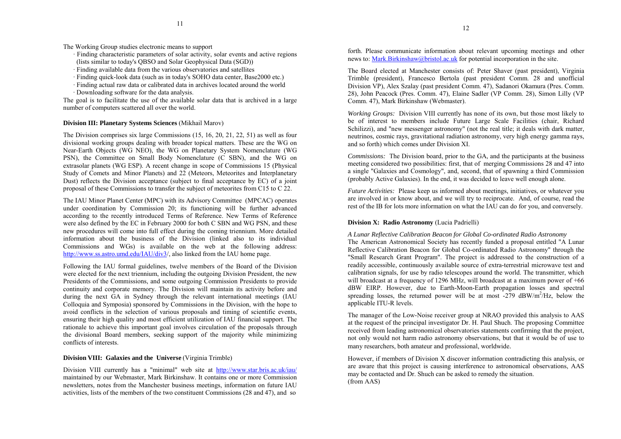The Working Group studies electronic means to support

- · Finding characteristic parameters of solar activity, solar events and active regions (lists similar to today's QBSO and Solar Geophysical Data (SGD))
- · Finding available data from the various observatories and satellites
- · Finding quick-look data (such as in today's SOHO data center, Base2000 etc.)
- · Finding actual raw data or calibrated data in archives located around the world · Downloading software for the data analysis.

The goal is to facilitate the use of the available solar data that is archived in a large number of computers scattered all over the world.

## **Division III: Planetary Systems Sciences** (Mikhail Marov)

The Division comprises six large Commissions (15, 16, 20, 21, 22, 51) as well as four divisional working groups dealing with broader topical matters. These are the WG on Near-Earth Objects (WG NEO), the WG on Planetary System Nomenclature (WG PSN), the Committee on Small Body Nomenclature (C SBN), and the WG on extrasolar planets (WG ESP). A recent change in scope of Commissions 15 (Physical Study of Comets and Minor Planets) and 22 (Meteors, Meteorites and Interplanetary Dust) reflects the Division acceptance (subject to final acceptance by EC) of a joint proposal of these Commissions to transfer the subject of meteorites from C15 to C 22.

The IAU Minor Planet Center (MPC) with its Advisory Committee (MPCAC) operates under coordination by Commission 20; its functioning will be further advanced according to the recently introduced Terms of Reference. New Terms of Reference were also defined by the EC in February 2000 for both C SBN and WG PSN, and these new procedures will come into full effect during the coming triennium. More detailed information about the business of the Division (linked also to its individual Commissions and WGs) is available on the web at the following address: <http://www.ss.astro.umd.edu/IAU/div3/,>also linked from the IAU home page.

Following the IAU formal guidelines, twelve members of the Board of the Division were elected for the next triennium, including the outgoing Division President, the new Presidents of the Commissions, and some outgoing Commission Presidents to provide continuity and corporate memory. The Division will maintain its activity before and during the next GA in Sydney through the relevant international meetings (IAU Colloquia and Symposia) sponsored by Commissions in the Division, with the hope to avoid conflicts in the selection of various proposals and timing of scientific events, ensuring their high quality and most efficient utilization of IAU financial support. The rationale to achieve this important goal involves circulation of the proposals through the divisional Board members, seeking support of the majority while minimizing conflicts of interests.

## **Division VIII: Galaxies and the Universe** (Virginia Trimble)

Division VIII currently has a "minimal" web site at <http://www.star.bris.ac.uk/iau/> maintained by our Webmaster, Mark Birkinshaw. It contains one or more Commission newsletters, notes from the Manchester business meetings, information on future IAU activities, lists of the members of the two constituent Commissions (28 and 47), and so

forth. Please communicate information about relevant upcoming meetings and other news to: [Mark.Birkinshaw@bristol.ac.uk fo](mailto:Mark.Birkinshaw@bristol.ac.uk)r potential incorporation in the site.

The Board elected at Manchester consists of: Peter Shaver (past president), Virginia Trimble (president), Francesco Bertola (past president Comm. 28 and unofficial Division VP), Alex Szalay (past president Comm. 47), Sadanori Okamura (Pres. Comm. 28), John Peacock (Pres. Comm. 47), Elaine Sadler (VP Comm. 28), Simon Lilly (VP Comm. 47), Mark Birkinshaw (Webmaster).

*Working Groups:* Division VIII currently has none of its own, but those most likely to be of interest to members include Future Large Scale Facilities (chair, Richard Schilizzi), and "new messenger astronomy" (not the real title; it deals with dark matter, neutrinos, cosmic rays, gravitational radiation astronomy, very high energy gamma rays, and so forth) which comes under Division XI.

*Commissions:* The Division board, prior to the GA, and the participants at the business meeting considered two possibilities: first, that of merging Commissions 28 and 47 into a single "Galaxies and Cosmology", and, second, that of spawning a third Commission (probably Active Galaxies). In the end, it was decided to leave well enough alone.

*Future Activities:* Please keep us informed about meetings, initiatives, or whatever you are involved in or know about, and we will try to reciprocate. And, of course, read the rest of the IB for lots more information on what the IAU can do for you, and conversely.

## **Division X: Radio Astronomy** (Lucia Padrielli)

*A Lunar Reflective Calibration Beacon for Global Co-ordinated Radio Astronomy* The American Astronomical Society has recently funded a proposal entitled "A Lunar Reflective Calibration Beacon for Global Co-ordinated Radio Astronomy" through the "Small Research Grant Program". The project is addressed to the construction of a readily accessible, continuously available source of extra-terrestrial microwave test and calibration signals, for use by radio telescopes around the world. The transmitter, which will broadcast at a frequency of 1296 MHz, will broadcast at a maximum power of  $+66$ dBW EIRP. However, due to Earth-Moon-Earth propagation losses and spectral spreading losses, the returned power will be at most  $-279$  dBW/m<sup>2</sup>/Hz, below the applicable ITU-R levels.

The manager of the Low-Noise receiver group at NRAO provided this analysis to AAS at the request of the principal investigator Dr. H. Paul Shuch. The proposing Committee received from leading astronomical observatories statements confirming that the project, not only would not harm radio astronomy observations, but that it would be of use to many researchers, both amateur and professional, worldwide.

However, if members of Division X discover information contradicting this analysis, or are aware that this project is causing interference to astronomical observations, AAS may be contacted and Dr. Shuch can be asked to remedy the situation. (from AAS)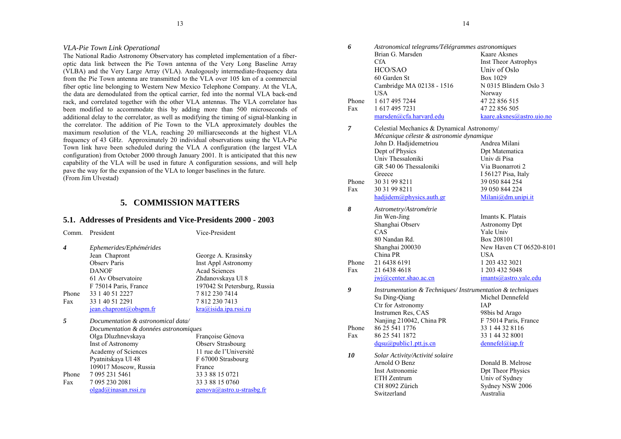## <span id="page-7-0"></span>*VLA-Pie Town Link Operational*

The National Radio Astronomy Observatory has completed implementation of a fiberoptic data link between the Pie Town antenna of the Very Long Baseline Array (VLBA) and the Very Large Array (VLA). Analogously intermediate-frequency data from the Pie Town antenna are transmitted to the VLA over 105 km of a commercial fiber optic line belonging to Western New Mexico Telephone Company. At the VLA, the data are demodulated from the optical carrier, fed into the normal VLA back-end rack, and correlated together with the other VLA antennas. The VLA correlator has been modified to accommodate this by adding more than 500 microseconds of additional delay to the correlator, as well as modifying the timing of signal-blanking in the correlator. The addition of Pie Town to the VLA approximately doubles the maximum resolution of the VLA, reaching 20 milliarcseconds at the highest VLA frequency of 43 GHz. Approximately 20 individual observations using the VLA-Pie Town link have been scheduled during the VLA A configuration (the largest VLA configuration) from October 2000 through January 2001. It is anticipated that this new capability of the VLA will be used in future A configuration sessions, and will help pave the way for the expansion of the VLA to longer baselines in the future. (From Jim Ulvestad)

## **5. COMMISSION MATTERS**

## **5.1. Addresses of Presidents and Vice-Presidents 2000 - 2003**

| Comm. | President                                        | Vice-President               |
|-------|--------------------------------------------------|------------------------------|
| 4     | Ephemerides/Ephémérides                          |                              |
|       | Jean Chapront                                    | George A. Krasinsky          |
|       | <b>Observ Paris</b>                              | <b>Inst Appl Astronomy</b>   |
|       | <b>DANOF</b>                                     | <b>Acad Sciences</b>         |
|       | 61 Av Observatoire                               | Zhdanovskaya Ul 8            |
|       | F 75014 Paris, France                            | 197042 St Petersburg, Russia |
| Phone | 33 1 40 51 2227                                  | 7 812 230 7414               |
| Fax   | 33 1 40 51 2291                                  | 78122307413                  |
|       | jean.chapront@obspm.fr                           | kra@isida.jpa.rssi.ru        |
| 5     | Documentation & astronomical data/               |                              |
|       | Documentation & données astronomiques            |                              |
|       | Olga Dluzhnevskaya                               | Françoise Génova             |
|       | Inst of Astronomy                                | Observ Strasbourg            |
|       | Academy of Sciences                              | 11 rue de l'Université       |
|       | Pyatnitskaya Ul 48                               | F 67000 Strasbourg           |
|       | 109017 Moscow, Russia                            | France                       |
| Phone | 7 095 231 5461                                   | 33 3 88 15 0721              |
| Fax   | 7 095 230 2081                                   | 33 3 88 15 0760              |
|       | $-1 - 1$ $\bigcap$ $\bigcap$ $-1$ $\bigcap$ $-1$ |                              |

| 6     | Astronomical telegrams/Télégrammes astronomiques          |                             |  |
|-------|-----------------------------------------------------------|-----------------------------|--|
|       | Brian G. Marsden                                          | Kaare Aksnes                |  |
|       | <b>CfA</b>                                                | <b>Inst Theor Astrophys</b> |  |
|       | HCO/SAO                                                   | Univ of Oslo                |  |
|       | 60 Garden St                                              | Box 1029                    |  |
|       | Cambridge MA 02138 - 1516                                 | N 0315 Blindern Oslo 3      |  |
|       | USA                                                       | Norway                      |  |
| Phone | 1 617 495 7244                                            | 47 22 856 515               |  |
| Fax   | 1 617 495 7231                                            | 47 22 856 505               |  |
|       | marsden@cfa.harvard.edu                                   | kaare.aksnes@astro.uio.no   |  |
| 7     | Celestial Mechanics & Dynamical Astronomy/                |                             |  |
|       | Mécanique céleste & astronomie dynamique                  |                             |  |
|       | John D. Hadjidemetriou                                    | Andrea Milani               |  |
|       | Dept of Physics                                           | Dpt Matematica              |  |
|       | Univ Thessaloniki                                         | Univ di Pisa                |  |
|       | GR 540 06 Thessaloniki                                    | Via Buonarroti 2            |  |
|       | Greece                                                    | I 56127 Pisa, Italy         |  |
| Phone | 30 31 99 8211                                             | 39 050 844 254              |  |
| Fax   | 30 31 99 8211                                             | 39 050 844 224              |  |
|       | hadjidem@physics.auth.gr                                  | Milani@dm.unipi.it          |  |
| 8     | Astrometry/Astrométrie                                    |                             |  |
|       | Jin Wen-Jing                                              | Imants K. Platais           |  |
|       | Shanghai Observ                                           | <b>Astronomy Dpt</b>        |  |
|       | CAS                                                       | Yale Univ                   |  |
|       | 80 Nandan Rd.                                             | Box 208101                  |  |
|       | Shanghai 200030                                           | New Haven CT 06520-8101     |  |
|       | China PR                                                  | USA                         |  |
| Phone | 21 6438 6191                                              | 1 203 432 3021              |  |
| Fax   | 21 6438 4618                                              | 1 203 432 5048              |  |
|       | $j$ wj $@$ center.shao.ac.cn                              | imants@astro.yale.edu       |  |
| 9     | Instrumentation & Techniques/Instrumentation & techniques |                             |  |
|       | Su Ding-Qiang                                             | Michel Dennefeld            |  |
|       | Ctr for Astronomy                                         | <b>IAP</b>                  |  |
|       | Instrumen Res, CAS                                        | 98bis bd Arago              |  |
|       | Nanjing 210042, China PR                                  | F 75014 Paris, France       |  |
| Phone | 86 25 541 1776                                            | 33 1 44 32 8116             |  |
| Fax   | 86 25 541 1872                                            | 33 1 44 32 8001             |  |
|       | $d$ qsu $(a)$ public1.ptt.js.cn                           | $d$ ennefel@iap.fr          |  |
| 10    | Solar Activity/Activité solaire                           |                             |  |
|       | Arnold O Benz                                             | Donald B. Melrose           |  |
|       | Inst Astronomie                                           | Dpt Theor Physics           |  |
|       | ETH Zentrum                                               | Univ of Sydney              |  |
|       | CH 8092 Zürich                                            | Sydney NSW 2006             |  |
|       | Switzerland                                               | Australia                   |  |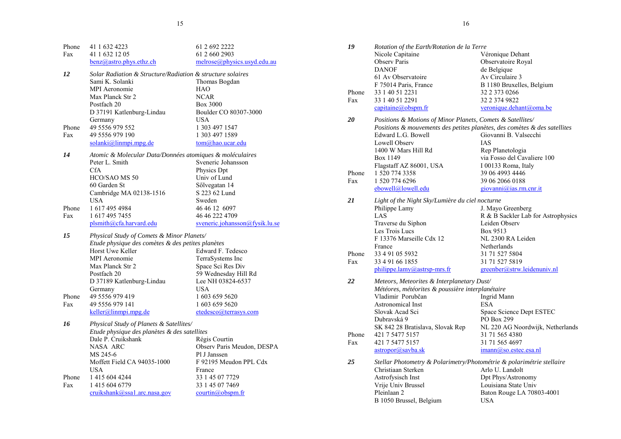| Phone | 41 1 632 4223                                              | 61 2 692 2222                  |
|-------|------------------------------------------------------------|--------------------------------|
| Fax   | 41 1 632 12 05                                             | 61 2 660 2903                  |
|       | $benz@astro.phys.ethz.ch$                                  | melrose@physics.usyd.edu.au    |
| 12    | Solar Radiation & Structure/Radiation & structure solaires |                                |
|       | Sami K. Solanki                                            | Thomas Bogdan                  |
|       | MPI Aeronomie                                              | HAO                            |
|       | Max Planck Str 2                                           | <b>NCAR</b>                    |
|       | Postfach 20                                                | Box 3000                       |
|       | D 37191 Katlenburg-Lindau                                  | Boulder CO 80307-3000          |
|       | Germany                                                    | USA                            |
| Phone | 49 5556 979 552                                            | 1 303 497 1547                 |
| Fax   | 49 5556 979 190                                            | 1 303 497 1589                 |
|       | $solanki(a)$ linmpi.mpg.de                                 | tom@hao.ucar.edu               |
| 14    | Atomic & Molecular Data/Données atomiques & moléculaires   |                                |
|       | Peter L. Smith                                             | Sveneric Johansson             |
|       | <b>CfA</b>                                                 | <b>Physics Dpt</b>             |
|       | HCO/SAO MS 50                                              | Univ of Lund                   |
|       | 60 Garden St                                               | Sőlvegatan 14                  |
|       | Cambridge MA 02138-1516                                    | S 223 62 Lund                  |
|       | USA                                                        | Sweden                         |
| Phone | 16174954984                                                | 46 46 12 6097                  |
| Fax   | 1 617 495 7455                                             | 46 46 222 4709                 |
|       | plsmith@cfa.harvard.edu                                    | sveneric.johansson@fysik.lu.se |
| 15    | Physical Study of Comets & Minor Planets/                  |                                |
|       | Etude physique des comètes & des petites planètes          |                                |
|       | Horst Uwe Keller                                           | Edward F. Tedesco              |
|       | <b>MPI</b> Aeronomie                                       | TerraSystems Inc               |
|       | Max Planck Str 2                                           | Space Sci Res Div              |
|       | Postfach 20                                                | 59 Wednesday Hill Rd           |
|       | D 37189 Katlenburg-Lindau                                  | Lee NH 03824-6537              |
|       | Germany                                                    | USA                            |
| Phone | 49 5556 979 419                                            | 1 603 659 5620                 |
| Fax   | 49 5556 979 141                                            | 1 603 659 5620                 |
|       | keller@limmpi.mpg.de                                       | etedesco@terrasys.com          |
| 16    | Physical Study of Planets & Satellites/                    |                                |
|       | Etude physique des planètes & des satellites               |                                |
|       | Dale P. Cruikshank                                         | Régis Courtin                  |
|       | NASA ARC                                                   | Observ Paris Meudon, DESPA     |
|       | MS 245-6                                                   | Pl J Janssen                   |
|       | Moffett Field CA 94035-1000                                | F 92195 Meudon PPL Cdx         |
|       | USA                                                        | France                         |
| Phone | 1 415 604 4244                                             | 33 1 45 07 7729                |
| Fax   | 1 415 604 6779                                             | 33 1 45 07 7469                |
|       | cruikshank@ssa1.arc.nasa.gov                               | courtin@obspm.fr               |

| 19    | Rotation of the Earth/Rotation de la Terre                            |                                                                           |
|-------|-----------------------------------------------------------------------|---------------------------------------------------------------------------|
|       | Nicole Capitaine                                                      | Véronique Dehant                                                          |
|       | <b>Observ Paris</b>                                                   | Observatoire Royal                                                        |
|       | <b>DANOF</b>                                                          | de Belgique                                                               |
|       | 61 Av Observatoire                                                    | Av Circulaire 3                                                           |
|       | F 75014 Paris, France                                                 | B 1180 Bruxelles, Belgium                                                 |
| Phone | 33 1 40 51 2231                                                       | 32 2 373 0266                                                             |
| Fax   | 33 1 40 51 2291                                                       | 32 2 374 9822                                                             |
|       | capitaine@obspm.fr                                                    | veronique.dehant@oma.be                                                   |
| 20    | Positions & Motions of Minor Planets, Comets & Satellites/            |                                                                           |
|       |                                                                       | Positions & mouvements des petites planètes, des comètes & des satellites |
|       | Edward L.G. Bowell                                                    | Giovanni B. Valsecchi                                                     |
|       | Lowell Observ                                                         | <b>IAS</b>                                                                |
|       | 1400 W Mars Hill Rd                                                   | Rep Planetologia                                                          |
|       | Box 1149                                                              | via Fosso del Cavaliere 100                                               |
|       | Flagstaff AZ 86001, USA                                               | I 00133 Roma, Italy                                                       |
| Phone | 1 520 774 3358                                                        | 39 06 4993 4446                                                           |
| Fax   | 1 520 774 6296                                                        | 39 06 2066 0188                                                           |
|       | ebowell@lowell.edu                                                    | giovanni@ias.rm.cnr.it                                                    |
| 21    | Light of the Night Sky/Lumière du ciel nocturne                       |                                                                           |
|       | Philippe Lamy                                                         | J. Mayo Greenberg                                                         |
|       | LAS                                                                   | R & B Sackler Lab for Astrophysics                                        |
|       | Traverse du Siphon                                                    | Leiden Observ                                                             |
|       | Les Trois Lucs                                                        | Box 9513                                                                  |
|       | F 13376 Marseille Cdx 12                                              | NL 2300 RA Leiden                                                         |
|       | France                                                                | Netherlands                                                               |
| Phone | 33 4 91 05 5932                                                       | 31 71 527 5804                                                            |
| Fax   | 33 4 91 66 1855                                                       | 31 71 527 5819                                                            |
|       | philippe.lamy@astrsp-mrs.fr                                           | greenber@strw.leidenuniv.nl                                               |
| 22    | Meteors, Meteorites & Interplanetary Dust/                            |                                                                           |
|       | Météores, météorites & poussière interplanétaire                      |                                                                           |
|       | Vladimir Porubčan                                                     | Ingrid Mann                                                               |
|       | Astronomical Inst                                                     | <b>ESA</b>                                                                |
|       | Slovak Acad Sci                                                       | Space Science Dept ESTEC                                                  |
|       | Dubravská 9                                                           | PO Box 299                                                                |
|       | SK 842 28 Bratislava, Slovak Rep                                      | NL 220 AG Noordwijk, Netherlands                                          |
| Phone | 421 7 5477 5157                                                       | 31 71 565 4380                                                            |
| Fax   | 421 7 5477 5157                                                       | 31 71 565 4697                                                            |
|       | $astropor@savba$ .sk                                                  | imann@so.estec.esa.nl                                                     |
| 25    | Stellar Photometry & Polarimetry/Photométrie & polarimétrie stellaire |                                                                           |
|       | Christiaan Sterken                                                    | Arlo U. Landolt                                                           |
|       | Astrofysisch Inst                                                     | Dpt Phys/Astronomy                                                        |
|       | Vrije Univ Brussel                                                    | Louisiana State Univ                                                      |
|       | Pleinlaan 2                                                           | Baton Rouge LA 70803-4001                                                 |
|       | B 1050 Brussel, Belgium                                               | <b>USA</b>                                                                |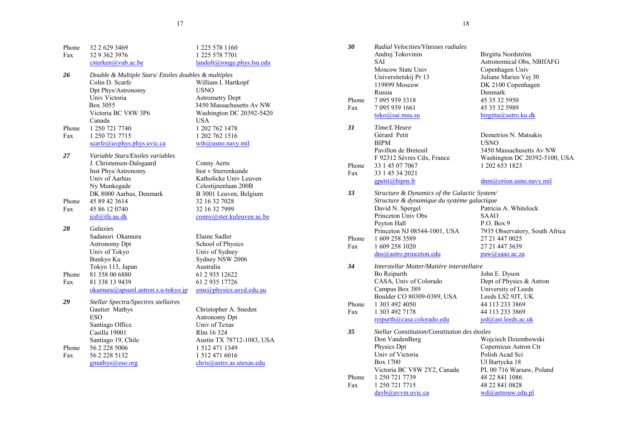| Phone | 32 2 629 3469                                        | 1 225 578 1160             |
|-------|------------------------------------------------------|----------------------------|
| Fax   | 32 9 362 3976                                        | 1 225 578 7701             |
|       | csterken@vub.ac.be                                   | landolt@rouge.phys.lsu.edu |
| 26    | Double & Multiple Stars/ Etoiles doubles & multiples |                            |
|       | Colin D. Scarfe                                      | William I. Hartkopf        |
|       | Dpt Phys/Astronomy                                   | <b>USNO</b>                |
|       | Univ Victoria                                        | <b>Astrometry Dept</b>     |
|       | Box 3055                                             | 3450 Massachusetts Av NW   |
|       | Victoria BC V8W 3P6                                  | Washington DC 20392-5420   |
|       | Canada                                               | USA                        |
| Phone | 1 250 721 7740                                       | 1 202 762 1478             |
| Fax   | 1 250 721 7715                                       | 1 202 762 1516             |
|       | $scarfc(a)$ uvphys.phys.uvic.ca                      | wih@usno.navy.mil          |
| 27    | Variable Stars/Etoiles variables                     |                            |
|       | J. Christensen-Dalsgaard                             | Conny Aerts                |
|       | Inst Phys/Astronomy                                  | Inst v Sterrenkunde        |
|       | Univ of Aarhus                                       | Katholicke Univ Leuven     |
|       | Ny Munkegade                                         | Celestijnenlaan 200B       |
|       | DK 8000 Aarhus, Denmark                              | B 3001 Leuven, Belgium     |
| Phone | 45 89 42 3614                                        | 32 16 32 7028              |
| Fax   | 45 86 12 0740                                        | 32 16 32 7999              |
|       | $jcd(a)$ ifa.au.dk                                   | conny@ster.kuleuven.ac.be  |
| 28    | Galaxies                                             |                            |
|       | Sadanori Okamura                                     | Elaine Sadler              |
|       | <b>Astronomy Dpt</b>                                 | School of Physics          |
|       | Univ of Tokyo                                        | Univ of Sydney             |
|       | Bunkyo Ku                                            | Sydney NSW 2006            |
|       | Tokyo 113, Japan                                     | Australia                  |
| Phone | 81 358 00 6880                                       | 61 2 935 12622             |
| Fax   | 81 338 13 9439                                       | 61 2 935 17726             |
|       | okamura@apsunl.astron.s.u-tokyo.jp                   | ems@physics.usyd.edu.au    |
| 29    | Stellar Spectra/Spectres stellaires                  |                            |
|       | Gautier Mathys                                       | Christopher A. Sneden      |
|       | <b>ESO</b>                                           | <b>Astronomy Dpt</b>       |
|       | Santiago Office                                      | Univ of Texas              |
|       | Casilla 19001                                        | Rlm 16 324                 |
|       | Santiago 19, Chile                                   | Austin TX 78712-1083, USA  |
| Phone | 56 2 228 5006                                        | 1 512 471 1349             |
| Fax   | 56 2 228 5132                                        | 1 512 471 6016             |
|       | gmathys@eso.org                                      | chris@astro.as.utexas.edu  |
|       |                                                      |                            |

| 30<br>Phone<br>Fax | Radial Velocities/Vitesses radiales<br>Andrej Tokovinin<br>SAI<br>Moscow State Univ<br>Universitetskij Pr 13<br>119899 Moscow<br>Russia<br>7 095 939 3318<br>7 095 939 1661<br>$toko(a)$ sai.msu.su | Birgitta Nordström<br>Astronomical Obs, NBIfAFG<br>Copenhagen Univ<br>Juliane Maries Vej 30<br>DK 2100 Copenhagen<br>Denmark<br>45 35 32 5950<br>45 35 32 5989<br>birgitta@astro.ku.dk |
|--------------------|-----------------------------------------------------------------------------------------------------------------------------------------------------------------------------------------------------|----------------------------------------------------------------------------------------------------------------------------------------------------------------------------------------|
| 31                 | Time/L'Heure<br>Gérard Petit<br><b>BIPM</b>                                                                                                                                                         | Demetrios N. Matsakis<br><b>USNO</b>                                                                                                                                                   |
| Phone<br>Fax       | Pavillon de Breteuil<br>F 92312 Sèvres Cdx, France<br>33 1 45 07 7067<br>33 1 45 34 2021                                                                                                            | 3450 Massachusetts Av NW<br>Washington DC 20392-5100, USA<br>1 202 653 1823                                                                                                            |
|                    | gpetit@bipm.fr                                                                                                                                                                                      | dnm@orion.usno.navy.mil                                                                                                                                                                |
| 33                 | Structure & Dynamics of the Galactic System/                                                                                                                                                        |                                                                                                                                                                                        |
|                    | Structure & dynamique du système galactique                                                                                                                                                         |                                                                                                                                                                                        |
|                    | David N. Spergel                                                                                                                                                                                    | Patricia A. Whitelock                                                                                                                                                                  |
|                    | Princeton Univ Obs                                                                                                                                                                                  | SAAO                                                                                                                                                                                   |
|                    | Peyton Hall                                                                                                                                                                                         | P.O. Box 9                                                                                                                                                                             |
|                    | Princeton NJ 08544-1001, USA                                                                                                                                                                        | 7935 Observatory, South Africa                                                                                                                                                         |
| Phone              | 16092583589                                                                                                                                                                                         | 27 21 447 0025                                                                                                                                                                         |
| Fax                | 1 609 258 1020                                                                                                                                                                                      | 27 21 447 3639                                                                                                                                                                         |
|                    | dns@astro.princeton.edu                                                                                                                                                                             | paw@saao.ac.za                                                                                                                                                                         |
| 34                 | Interstellar Matter/Matière interstellaire                                                                                                                                                          |                                                                                                                                                                                        |
|                    | Bo Reipurth                                                                                                                                                                                         | John E. Dyson                                                                                                                                                                          |
|                    | CASA, Univ of Colorado                                                                                                                                                                              | Dept of Physics & Astron                                                                                                                                                               |
|                    | Campus Box 389                                                                                                                                                                                      | University of Leeds                                                                                                                                                                    |
|                    | Boulder CO 80309-0389, USA                                                                                                                                                                          | Leeds LS2 9JT, UK                                                                                                                                                                      |
| Phone              | 1 303 492 4050                                                                                                                                                                                      | 44 113 233 3869                                                                                                                                                                        |
| Fax                | 1 303 492 7178                                                                                                                                                                                      | 44 113 233 3869                                                                                                                                                                        |
|                    | reipurth@casa.colorado.edu                                                                                                                                                                          | jed@ast.leeds.ac.uk                                                                                                                                                                    |
| 35                 | Stellar Constitution/Constitution des étoiles                                                                                                                                                       |                                                                                                                                                                                        |
|                    | Don VandenBerg                                                                                                                                                                                      | Wojciech Dziembowski                                                                                                                                                                   |
|                    | Physics Dpt                                                                                                                                                                                         | Copernicus Astron Ctr                                                                                                                                                                  |
|                    | Univ of Victoria                                                                                                                                                                                    | Polish Acad Sci                                                                                                                                                                        |
|                    | Box 1700                                                                                                                                                                                            | Ul Bartycka 18                                                                                                                                                                         |
|                    | Victoria BC V8W 2Y2, Canada                                                                                                                                                                         | PL 00 716 Warsaw, Poland                                                                                                                                                               |
| Phone<br>Fax       | 1 250 721 7739<br>1 250 721 7715                                                                                                                                                                    | 48 22 841 1086<br>48 22 841 0828                                                                                                                                                       |
|                    | $\frac{dayb(a)uvvm.uvic.ca}{=}$                                                                                                                                                                     | <u>wd@astrouw.edu.pl</u>                                                                                                                                                               |
|                    |                                                                                                                                                                                                     |                                                                                                                                                                                        |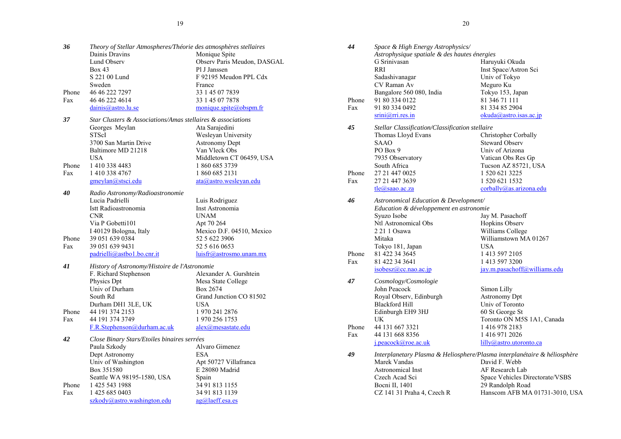| 36    | Theory of Stellar Atmospheres/Théorie des atmosphères stellaires |                             |
|-------|------------------------------------------------------------------|-----------------------------|
|       | Dainis Dravins                                                   | Monique Spite               |
|       | Lund Observ                                                      | Observ Paris Meudon, DASGAL |
|       | Box 43                                                           | Pl J Janssen                |
|       | S 221 00 Lund                                                    | F 92195 Meudon PPL Cdx      |
|       | Sweden                                                           | France                      |
| Phone | 46 46 222 7297                                                   | 33 1 45 07 7839             |
| Fax   | 46 46 222 4614                                                   | 33 1 45 07 7878             |
|       | dains@astro.lu.se                                                | monique.spite@obspm.fr      |

| 37    | Star Clusters & Associations/Amas stellaires & associations |                          |
|-------|-------------------------------------------------------------|--------------------------|
|       | Georges Meylan                                              | Ata Sarajedini           |
|       | <b>STScI</b>                                                | Wesleyan University      |
|       | 3700 San Martin Drive                                       | <b>Astronomy Dept</b>    |
|       | Baltimore MD 21218                                          | Van Vleck Obs            |
|       | USA                                                         | Middletown CT 06459, USA |
| Phone | 1 410 338 4483                                              | 1 860 685 3739           |
| Fax   | 1 410 338 4767                                              | 1 860 685 2131           |
|       | $g$ meylan $@$ stsci.edu                                    | ata@astro.wesleyan.edu   |

*40 Radio Astronomy/Radioastronomie* Luis Rodriguez Istt Radioastronomia Inst Astronomia CNR UNAMApt 70 264 Via P Gobetti101<br>I 40129 Bologna, Italy Mexico D.F. 04510, Mexico Phone 39 051 639 0384 52 5 622 3906<br>52 5 616 0653 Fax 39 051 639 9431 [padrielli@astbo1.bo.cnr.it](mailto:padrielli@astbo1.bo.cnr.it) [luisfr@astrosmo.unam.mx](mailto:luisfr@astrosmo.unam.mx)

| History of Astronomy/Histoire de l'Astronomie<br>41 |                             |                         |
|-----------------------------------------------------|-----------------------------|-------------------------|
|                                                     | F. Richard Stephenson       | Alexander A. Gurshtein  |
|                                                     | Physics Dpt                 | Mesa State College      |
|                                                     | Univ of Durham              | Box 2674                |
|                                                     | South Rd                    | Grand Junction CO 81502 |
|                                                     | Durham DH1 3LE, UK          | USA                     |
| Phone                                               | 44 191 374 2153             | 1 970 241 2876          |
| Fax                                                 | 44 191 374 3749             | 1970 256 1753           |
|                                                     | F.R.Stephenson@durham.ac.uk | alex@mesastate.edu      |

| 42    | Close Binary Stars/Etoiles binaires serrées |                       |  |
|-------|---------------------------------------------|-----------------------|--|
|       | Paula Szkody                                | Alvaro Gimenez        |  |
|       | Dept Astronomy                              | ESA                   |  |
|       | Univ of Washington                          | Apt 50727 Villafranca |  |
|       | Box 351580                                  | E 28080 Madrid        |  |
|       | Seattle WA 98195-1580, USA                  | Spain                 |  |
| Phone | 1 425 543 1988                              | 34 91 813 1155        |  |
| Fax   | 1 425 685 0403                              | 34 91 813 1139        |  |
|       | szkody@astro.washington.edu                 | $ag(a)$ laeff.esa.es  |  |

| 44    | Space & High Energy Astrophysics/<br>Astrophysique spatiale & des hautes énergies |                                                                                                   |
|-------|-----------------------------------------------------------------------------------|---------------------------------------------------------------------------------------------------|
|       | G Srinivasan                                                                      | Haruyuki Okuda                                                                                    |
|       | RRI                                                                               |                                                                                                   |
|       |                                                                                   | Inst Space/Astron Sci<br>Univ of Tokyo                                                            |
|       | Sadashiyanagar<br>CV Raman Av                                                     | Meguro Ku                                                                                         |
|       | Bangalore 560 080, India                                                          | Tokyo 153, Japan                                                                                  |
| Phone | 91 80 334 0122                                                                    | 81 346 71 111                                                                                     |
| Fax   | 91 80 334 0492                                                                    | 81 334 85 2904                                                                                    |
|       | srini@rri,res.in                                                                  | okuda@astro.isas.ac.jp                                                                            |
| 45    | Stellar Classification/Classification stellaire                                   |                                                                                                   |
|       | Thomas Lloyd Evans                                                                | Christopher Corbally                                                                              |
|       | SAAO                                                                              | <b>Steward Observ</b>                                                                             |
|       | PO Box 9                                                                          | Univ of Arizona                                                                                   |
|       | 7935 Observatory                                                                  | Vatican Obs Res Gp                                                                                |
|       | South Africa                                                                      | Tucson AZ 85721, USA                                                                              |
| Phone | 27 21 447 0025                                                                    | 1 520 621 3225                                                                                    |
| Fax   | 27 21 447 3639                                                                    | 1 520 621 1532                                                                                    |
|       | $t e(a)$ saao.ac.za                                                               | corbally@as.arizona.edu                                                                           |
| 46    | Astronomical Education & Development/                                             |                                                                                                   |
|       | Education & développement en astronomie                                           |                                                                                                   |
|       | Syuzo Isobe                                                                       | Jay M. Pasachoff                                                                                  |
|       | Ntl Astronomical Obs                                                              | Hopkins Observ                                                                                    |
|       | 2 21 1 Osawa                                                                      | Williams College                                                                                  |
|       | Mitaka                                                                            | Williamstown MA 01267                                                                             |
|       | Tokyo 181, Japan                                                                  | <b>USA</b>                                                                                        |
| Phone | 81 422 34 3645                                                                    | 1 413 597 2105                                                                                    |
| Fax   | 81 422 34 3641                                                                    | 1 413 597 3200                                                                                    |
|       | isobesz@cc.nao.ac.jp                                                              | jay.m.pasachoff@williams.edu                                                                      |
| 47    | Cosmology/Cosmologie                                                              |                                                                                                   |
|       | John Peacock                                                                      | Simon Lilly                                                                                       |
|       | Royal Observ, Edinburgh                                                           | <b>Astronomy Dpt</b>                                                                              |
|       | <b>Blackford Hill</b>                                                             | Univ of Toronto                                                                                   |
|       | Edinburgh EH9 3HJ                                                                 | 60 St George St                                                                                   |
|       | UK                                                                                | Toronto ON M5S 1A1, Canada                                                                        |
| Phone | 44 131 667 3321                                                                   | 14169782183                                                                                       |
| Fax   | 44 131 668 8356                                                                   | 1 416 971 2026                                                                                    |
|       | j.peacock@roe.ac.uk                                                               | $\frac{1}{1}$ $\frac{1}{1}$ $\frac{1}{2}$ $\frac{1}{2}$ $\frac{1}{2}$ $\frac{1}{2}$ $\frac{1}{2}$ |
| 49    | Marek Vandas                                                                      | Interplanetary Plasma & Heliosphere/Plasma interplanétaire & héliosphère<br>David F. Webb         |
|       | Astronomical Inst                                                                 | AF Research Lab                                                                                   |
|       | Czech Acad Sci                                                                    | Space Vehicles Directorate/VSBS                                                                   |
|       | Bocni II, 1401                                                                    | 29 Randolph Road                                                                                  |
|       | CZ 141 31 Praha 4, Czech R                                                        | Hanscom AFB MA 01731-3010, USA                                                                    |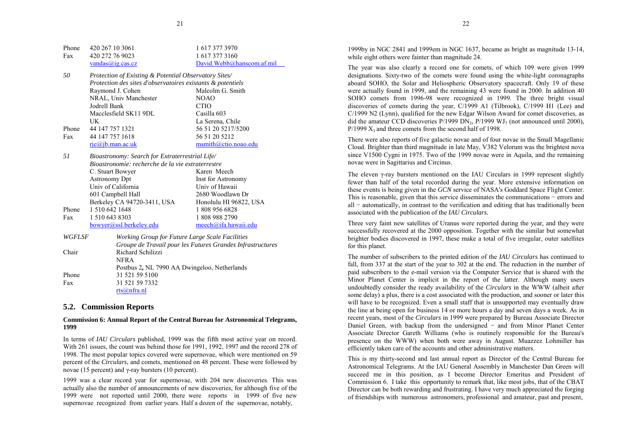<span id="page-11-0"></span>

| Phone                                                     | 420 267 10 3061                                             | 1 617 377 3970            |
|-----------------------------------------------------------|-------------------------------------------------------------|---------------------------|
| Fax                                                       | 420 272 76 9023                                             | 1 617 377 3160            |
|                                                           | vandas@iq.cs.cz                                             | David.Webb@hanscom.af.mil |
| 50                                                        | Protection of Existing & Potential Observatory Sites/       |                           |
|                                                           | Protection des sites d'observatoires existants & potentiels |                           |
|                                                           | Raymond J. Cohen                                            | Malcolm G. Smith          |
|                                                           | NRAL, Univ Manchester                                       | NOAO                      |
|                                                           | Jodrell Bank                                                | <b>CTIO</b>               |
|                                                           | Macclesfield SK11 9DL                                       | Casilla 603               |
|                                                           | UK                                                          | La Serena, Chile          |
| Phone                                                     | 44 147 757 1321                                             | 56 51 20 5217/5200        |
| Fax                                                       | 44 147 757 1618                                             | 56 51 20 5212             |
|                                                           | $ric(a)$ jb.man.ac.uk                                       | msmith@ctio.noao.edu      |
| 51                                                        | Bioastronomy: Search for Extraterrestrial Life/             |                           |
|                                                           | Bioastronomie: recherche de la vie extraterrestre           |                           |
|                                                           | C. Stuart Bowyer                                            | Karen Meech               |
|                                                           | <b>Astronomy Dpt</b>                                        | Inst for Astronomy        |
|                                                           | Univ of California                                          | Univ of Hawaii            |
|                                                           | 601 Campbell Hall                                           | 2680 Woodlawn Dr          |
|                                                           | Berkeley CA 94720-3411, USA                                 | Honolulu HI 96822, USA    |
| Phone                                                     | 1 510 642 1648                                              | 1 808 956 6828            |
| Fax                                                       | 1 510 643 8303                                              | 1 808 988 2790            |
|                                                           | bowyer@ssl.berkeley.edu                                     | meech@ifa.hawai.edu       |
| WGFLSF<br>Working Group for Future Large Scale Facilities |                                                             |                           |

|       | Groupe de Travail pour les Futures Grandes Infrastructures |
|-------|------------------------------------------------------------|
| Chair | Richard Schilizzi                                          |
|       | NFR A                                                      |
|       | Postbus 2, NL 7990 AA Dwingeloo, Netherlands               |
| Phone | 31 521 59 5100                                             |
| Fax   | 31 521 59 7332                                             |
|       | rts@nfra.nl                                                |
|       |                                                            |

## **5.2. Commission Reports**

## **Commission 6: Annual Report of the Central Bureau for Astronomical Telegrams, 1999**

In terms of *IAU Circulars* published, 1999 was the fifth most active year on record. With 261 issues, the count was behind those for 1991, 1992, 1997 and the record 278 of 1998. The most popular topics covered were supernovae, which were mentioned on 59 percent of the *Circulars*, and comets, mentioned on 48 percent. These were followed by novae (15 percent) and γ-ray bursters (10 percent).

1999 was a clear record year for supernovae, with 204 new discoveries. This was actually also the number of announcements of new discoveries, for although five of the 1999 were not reported until 2000, there were reports in 1999 of five new supernovae recognized from earlier years. Half a dozen of the supernovae, notably,

1999by in NGC 2841 and 1999em in NGC 1637, became as bright as magnitude 13-14, while eight others were fainter than magnitude 24.

The year was also clearly a record one for comets, of which 109 were given 1999 designations. Sixty-two of the comets were found using the white-light coronagraphs aboard SOHO, the Solar and Heliospheric Observatory spacecraft. Only 19 of these were actually found in 1999, and the remaining 43 were found in 2000. In addition 40 SOHO comets from 1996-98 were recognized in 1999. The three bright visual discoveries of comets during the year, C/1999 A1 (Tilbrook), C/1999 H1 (Lee) and C/1999 N2 (Lynn), qualified for the new Edgar Wilson Award for comet discoveries, as did the amateur CCD discoveries  $P/1999 \text{ DN}_3$ ,  $P/1999 \text{ WI}_7$  (not announced until 2000).  $P/1999 X_1$  and three comets from the second half of 1998.

There were also reports of five galactic novae and of four novae in the Small Magellanic Cloud. Brighter than third magnitude in late May, V382 Velorum was the brightest nova since V1500 Cygni in 1975. Two of the 1999 novae were in Aquila, and the remaining novae were in Sagittarius and Circinus.

The eleven γ-ray bursters mentioned on the IAU Circulars in 1999 represent slightly fewer than half of the total recorded during the year. More extensive information on these events is being given in the *GCN* service of NASA's Goddard Space Flight Center. This is reasonable, given that this service disseminates the communications – errors and all <sup>−</sup> automatically, in contrast to the verification and editing that has traditionally been associated with the publication of the *IAU Circulars.*

Three very faint new satellites of Uranus were reported during the year, and they were successfully recovered at the 2000 opposition. Together with the similar but somewhat brighter bodies discovered in 1997, these make a total of five irregular, outer satellites for this planet.

The number of subscribers to the printed edition of the *IAU Circulars* has continued to fall, from 337 at the start of the year to 302 at the end. The reduction in the number of paid subscribers to the e-mail version via the Computer Service that is shared with the Minor Planet Center is implicit in the report of the latter. Although many users undoubtedly consider the ready availability of the *Circulars* in the WWW (albeit after some delay) a plus, there is a cost associated with the production, and sooner or later this will have to be recognized. Even a small staff that is unsupported may eventually draw the line at being open for business 14 or more hours a day and seven days a week. As in recent years, most of the *Circulars* in 1999 were prepared by Bureau Associate Director Daniel Green, with backup from the undersigned − and from Minor Planet Center Associate Director Gareth Williams (who is routinely responsible for the Bureau's presence on the WWW) when both were away in August. Muazzez Lohmiller has efficiently taken care of the accounts and other administrative matters.

This is my thirty-second and last annual report as Director of the Central Bureau for Astronomical Telegrams. At the IAU General Assembly in Manchester Dan Green will succeed me in this position, as I become Director Emeritus and President of Commission 6. I take this opportunity to remark that, like most jobs, that of the CBAT Director can be both rewarding and frustrating. I have very much appreciated the forging of friendships with numerous astronomers, professional and amateur, past and present,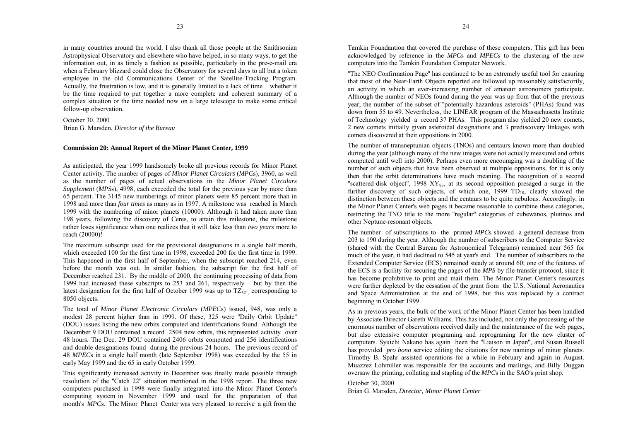in many countries around the world. I also thank all those people at the Smithsonian Astrophysical Observatory and elsewhere who have helped, in so many ways, to get the information out, in as timely a fashion as possible, particularly in the pre-e-mail era when a February blizzard could close the Observatory for several days to all but a token employee in the old Communications Center of the Satellite-Tracking Program. Actually, the frustration is low, and it is generally limited to a lack of time – whether it be the time required to put together a more complete and coherent summary of a complex situation or the time needed now on a large telescope to make some critical follow-up observation.

October 30, 2000 Brian G. Marsden, *Director of the Bureau*

## **Commission 20: Annual Report of the Minor Planet Center, 1999**

As anticipated, the year 1999 handsomely broke all previous records for Minor Planet Center activity. The number of pages of *Minor Planet Circulars* (*MPC*s), 3960, as well as the number of pages of actual observations in the *Minor Planet Circulars Supplement* (*MPS*s), 4998, each exceeded the total for the previous year by more than 65 percent. The 3145 new numberings of minor planets were 85 percent more than in 1998 and more than *four times* as many as in 1997. A milestone was reached in March 1999 with the numbering of minor planets (10000). Although it had taken more than 198 years, following the discovery of Ceres, to attain this milestone, the milestone rather loses significance when one realizes that it will take less than *two years* more to reach (20000)!

The maximum subscript used for the provisional designations in a single half month, which exceeded 100 for the first time in 1998, exceeded 200 for the first time in 1999. This happened in the first half of September, when the subscript reached 214, even before the month was out. In similar fashion, the subscript for the first half of December reached 231. By the middle of 2000, the continuing processing of data from 1999 had increased these subscripts to 253 and 261, respectively − but by then the latest designation for the first half of October 1999 was up to  $TZ_{321}$  corresponding to 8050 objects.

The total of *Minor Planet Electronic Circulars* (*MPEC*s) issued, 948, was only a modest 28 percent higher than in 1999. Of these, 325 were ''Daily Orbit Update'' (DOU) issues listing the new orbits computed and identifications found. Although the December 9 DOU contained a record 2504 new orbits, this represented activity over 48 hours. The Dec. 29 DOU contained 2406 orbits computed and 256 identifications and double designations found during the previous 24 hours. The previous record of 48 *MPEC*s in a single half month (late September 1998) was exceeded by the 55 in early May 1999 and the 65 in early October 1999.

This significantly increased activity in December was finally made possible through resolution of the ''Catch 22'' situation mentioned in the 1998 report. The three new computers purchased in 1998 were finally integrated into the Minor Planet Center's computing system in November 1999 and used for the preparation of that month's *MPC*s. The Minor Planet Center was very pleased to receive a gift from the Tamkin Foundantion that covered the purchase of these computers. This gift has been acknowledged by reference in the *MPC*s and *MPEC*s to the clustering of the new computers into the Tamkin Foundation Computer Network.

''The NEO Confirmation Page'' has continued to be an extremely useful tool for ensuring that most of the Near-Earth Objects reported are followed up reasonably satisfactorily, an activity in which an ever-increasing number of amateur astronomers participate. Although the number of NEOs found during the year was up from that of the previous year, the number of the subset of ''potentially hazardous asteroids'' (PHAs) found was down from 55 to 49. Nevertheless, the LINEAR program of the Massachusetts Institute of Technology yielded a record 37 PHAs. This program also yielded 20 new comets, 2 new comets initially given asteroidal designations and 3 prediscovery linkages with comets discovered at their oppositions in 2000.

The number of transneptunian objects (TNOs) and centaurs known more than doubled during the year (although many of the new images were not actually measured and orbits computed until well into 2000). Perhaps even more encouraging was a doubling of the number of such objects that have been observed at multiple oppositions, for it is only then that the orbit determinations have much meaning. The recognition of a second "scattered-disk object", 1998  $XY_{95}$ , at its second opposition presaged a surge in the further discovery of such objects, of which one,  $1999$   $TD_{10}$ , clearly showed the distinction between these objects and the centaurs to be quite nebulous. Accordingly, in the Minor Planet Center's web pages it became reasonable to combine these categories, restricting the TNO title to the more ''regular'' categories of cubewanos, plutinos and other Neptune-resonant objects.

The number of subscriptions to the printed *MPC*s showed a general decrease from 203 to 190 during the year. Although the number of subscribers to the Computer Service (shared with the Central Bureau for Astronomical Telegrams) remained near 565 for much of the year, it had declined to 545 at year's end. The number of subscribers to the Extended Computer Service (ECS) remained steady at around 60; one of the features of the ECS is a facility for securing the pages of the *MPS* by file-transfer protocol, since it has become prohibitive to print and mail them. The Minor Planet Center's resources were further depleted by the cessation of the grant from the U.S. National Aeronautics and Space Administration at the end of 1998, but this was replaced by a contract beginning in October 1999.

As in previous years, the bulk of the work of the Minor Planet Center has been handled by Associate Director Gareth Williams. This has included, not only the processing of the enormous number of observations received daily and the maintenance of the web pages, but also extensive computer programing and reprograming for the new cluster of computers. Syuichi Nakano has again been the ''Liaison in Japan'', and Susan Russell has provided *pro bono* service editing the citations for new namings of minor planets. Timothy B. Spahr assisted operations for a while in February and again in August. Muazzez Lohmiller was responsible for the accounts and mailings, and Billy Duggan oversaw the printing, collating and stapling of the *MPC*s in the SAO's print shop.

## October 30, 2000 Brian G. Marsden, *Director, Minor Planet Center*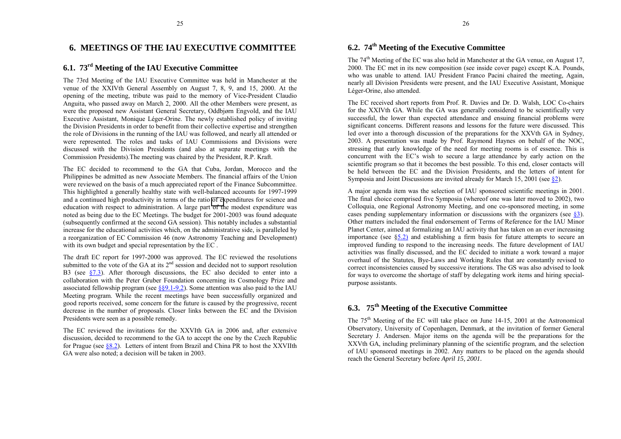## <span id="page-13-0"></span>**6. MEETINGS OF THE IAU EXECUTIVE COMMITTEE**

## **6.1. 73rd Meeting of the IAU Executive Committee**

The 73rd Meeting of the IAU Executive Committee was held in Manchester at the venue of the XXIVth General Assembly on August 7, 8, 9, and 15, 2000. At the opening of the meeting, tribute was paid to the memory of Vice-President Claudio Anguita, who passed away on March 2, 2000. All the other Members were present, as were the proposed new Assistant General Secretary, Oddbjørn Engvold, and the IAU Executive Assistant, Monique Léger-Orine. The newly established policy of inviting the Division Presidents in order to benefit from their collective expertise and strengthen the role of Divisions in the running of the IAU was followed, and nearly all attended or were represented. The roles and tasks of IAU Commissions and Divisions were discussed with the Division Presidents (and also at separate meetings with the Commission Presidents).The meeting was chaired by the President, R.P. Kraft.

The EC decided to recommend to the GA that Cuba, Jordan, Morocco and the Philippines be admitted as new Associate Members. The financial affairs of the Union were reviewed on the basis of a much appreciated report of the Finance Subcommittee. This highlighted a generally healthy state with well-balanced accounts for 1997-1999 and a continued high productivity in terms of the ratio [of ex](#page-11-0)penditures for science and education with respect to administration. A large part of the modest expenditure was noted as being due to the EC Meetings. The budget for 2001-2003 was found adequate (subsequently confirmed at the second GA session). This notably includes a substantial increase for the educational activities which, on the administrative side, is paralleled by a reorganization of EC Commission 46 (now Astronomy Teaching and Development) with its own budget and special representation by the EC.

The draft EC report for 1997-2000 was approved. The EC reviewed the resolutions submitted to the vote of the GA at its  $2<sup>nd</sup>$  session and decided not to support resolution B3 (see  $\S$ 7.3). After thorough discussions, the EC also decided to enter into a collaboration with the Peter Gruber Foundation concerning its Cosmology Prize and associated fellowship program (see  $\S$ §9.1-9.2). Some attention was also paid to the IAU Meeting program. While the recent meetings have been successfully organized and good reports received, some concern for the future is caused by the progressive, recent decrease in the number of proposals. Closer links between the EC and the Division Presidents were seen as a possible remedy.

The EC reviewed the invitations for the XXVIth GA in 2006 and, after extensive discussion, decided to recommend to the GA to accept the one by the Czech Republic for Prague (see  $8.2$ ). Letters of intent from Brazil and China PR to host the XXVIIth GA were also noted; a decision will be taken in 2003.

The 74<sup>th</sup> Meeting of the EC was also held in Manchester at the GA venue, on August 17, 2000. The EC met in its new composition (see inside cover page) except K.A. Pounds, who was unable to attend. IAU President Franco Pacini chaired the meeting, Again, nearly all Division Presidents were present, and the IAU Executive Assistant, Monique Léger-Orine, also attended.

The EC received short reports from Prof. R. Davies and Dr. D. Walsh, LOC Co-chairs for the XXIVth GA. While the GA was generally considered to be scientifically very successful, the lower than expected attendance and ensuing financial problems were significant concerns. Different reasons and lessons for the future were discussed. This led over into a thorough discussion of the preparations for the XXVth GA in Sydney, 2003. A presentation was made by Prof. Raymond Haynes on behalf of the NOC, stressing that early knowledge of the need for meeting rooms is of essence. This is concurrent with the EC's wish to secure a large attendance by early action on the scientific program so that it becomes the best possible. To this end, closer contacts will be held between the EC and the Division Presidents, and the letters of intent for Symposia and Joint Discussions are invited already for March 15, 2001 (see [ß2\).](#page-2-0)

A major agenda item was the selection of IAU sponsored scientific meetings in 2001. The final choice comprised five Symposia (whereof one was later moved to 2002), two Colloquia, one Regional Astronomy Meeting, and one co-sponsored meeting, in some cases pending supplementary information or discussions with the organizers (see [ß3\).](#page-2-0) Other matters included the final endorsement of Terms of Reference for the IAU Minor Planet Center, aimed at formalizing an IAU activity that has taken on an ever increasing importance (see  $\S$ 5.2) and establishing a firm basis for future attempts to secure an improved funding to respond to the increasing needs. The future development of IAU activities was finally discussed, and the EC decided to initiate a work toward a major overhaul of the Statutes, Bye-Laws and Working Rules that are constantly revised to correct inconsistencies caused by successive iterations. The GS was also advised to look for ways to overcome the shortage of staff by delegating work items and hiring specialpurpose assistants.

## **6.3. <sup>75</sup>th Meeting of the Executive Committee**

The 75th Meeting of the EC will take place on June 14-15, 2001 at the Astronomical Observatory, University of Copenhagen, Denmark, at the invitation of former General Secretary J. Andersen. Major items on the agenda will be the preparations for the XXVth GA, including preliminary planning of the scientific program, and the selection of IAU sponsored meetings in 2002. Any matters to be placed on the agenda should reach the General Secretary before *April 15, 2001.*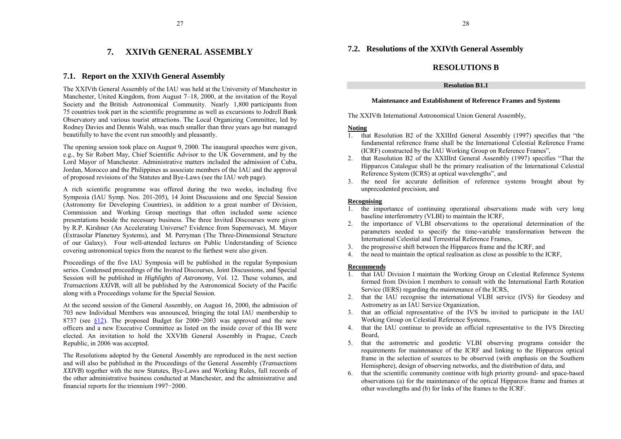#### **7.XXIVth GENERAL ASSEMBLY**

## <span id="page-14-0"></span>**7.1. Report on the XXIVth General Assembly**

The XXIVth General Assembly of the IAU was held at the University of Manchester in Manchester, United Kingdom, from August  $7-18$ , 2000, at the invitation of the Royal Society and the British Astronomical Community. Nearly 1,800 participants from 75 countries took part in the scientific programme as well as excursions to Jodrell Bank Observatory and various tourist attractions. The Local Organizing Committee, led by Rodney Davies and Dennis Walsh, was much smaller than three years ago but managed beautifully to have the event run smoothly and pleasantly.

The opening session took place on August 9, 2000. The inaugural speeches were given, e.g., by Sir Robert May, Chief Scientific Advisor to the UK Government, and by the Lord Mayor of Manchester. Administrative matters included the admission of Cuba, Jordan, Morocco and the Philippines as associate members of the IAU and the approval of proposed revisions of the Statutes and Bye-Laws (see the IAU web page).

A rich scientific programme was offered during the two weeks, including five Symposia (IAU Symp. Nos. 201-205), 14 Joint Discussions and one Special Session (Astronomy for Developing Countries), in addition to a great number of Division, Commission and Working Group meetings that often included some science presentations beside the necessary business. The three Invited Discourses were given by R.P. Kirshner (An Accelerating Universe? Evidence from Supernovae), M. Mayor (Extrasolar Planetary Systems), and M. Perryman (The Three-Dimensional Structure of our Galaxy). Four well-attended lectures on Public Understanding of Science covering astronomical topics from the nearest to the farthest were also given.

Proceedings of the five IAU Symposia will be published in the regular Symposium series. Condensed proceedings of the Invited Discourses, Joint Discussions, and Special Session will be published in *Highlights of Astronomy,* Vol. 12*.* These volumes, and *Transactions XXIVB*, will all be published by the Astronomical Society of the Pacific along with a Proceedings volume for the Special Session.

At the second session of the General Assembly, on August 16, 2000, the admission of 703 new Individual Members was announced, bringing the total IAU membership to 8737 (see  $\S 12$ ). The proposed Budget for 2000–2003 was approved and the new officers and a new Executive Committee as listed on the inside cover of this IB wereelected. An invitation to hold the XXVIth General Assembly in Prague, Czech Republic, in 2006 was accepted.

The Resolutions adopted by the General Assembly are reproduced in the next section and will also be published in the Proceedings of the General Assembly (*Transactions XXIVB*) together with the new Statutes, Bye-Laws and Working Rules, full records of the other administrative business conducted at Manchester, and the administrative and financial reports for the triennium 1997−2000.

## **7.2. Resolutions of the XXIVth General Assembly**

## **RESOLUTIONS B**

## **Resolution B1.1**

## **Maintenance and Establishment of Reference Frames and Systems**

The XXIVth International Astronomical Union General Assembly,

## **Noting**

- 1. that Resolution B2 of the XXIIIrd General Assembly (1997) specifies that "the fundamental reference frame shall be the International Celestial Reference Frame(ICRF) constructed by the IAU Working Group on Reference Frames".
- 2.that Resolution B2 of the XXIIIrd General Assembly  $(1997)$  specifies "That the Hipparcos Catalogue shall be the primary realisation of the International Celestial Reference System (ICRS) at optical wavelengths", and
- 3. the need for accurate definition of reference systems brought about by unprecedented precision, and

## **Recognising**

- 1. the importance of continuing operational observations made with very long baseline interferometry (VLBI) to maintain the ICRF,
- 2. the importance of VLBI observations to the operational determination of the parameters needed to specify the time-variable transformation between the International Celestial and Terrestrial Reference Frames,
- 3.the progressive shift between the Hipparcos frame and the ICRF, and
- 4. the need to maintain the optical realisation as close as possible to the ICRF,

## **Recommends**

- 1. that IAU Division I maintain the Working Group on Celestial Reference Systems formed from Division I members to consult with the International Earth RotationService (IERS) regarding the maintenance of the ICRS,
- 2. that the IAU recognise the international VLBI service (IVS) for Geodesy and Astrometry as an IAU Service Organization,
- 3. that an official representative of the IVS be invited to participate in the IAU Working Group on Celestial Reference Systems,
- 4. that the IAU continue to provide an official representative to the IVS Directing Board,
- 5. that the astrometric and geodetic VLBI observing programs consider the requirements for maintenance of the ICRF and linking to the Hipparcos optical frame in the selection of sources to be observed (with emphasis on the Southern Hemisphere), design of observing networks, and the distribution of data, and
- 6. that the scientific community continue with high priority ground- and space-based observations (a) for the maintenance of the optical Hipparcos frame and frames at other wavelengths and (b) for links of the frames to the ICRF.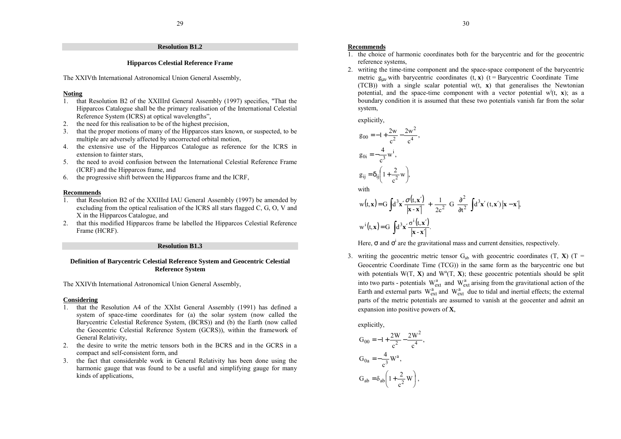## **Resolution B1.2**

## **Hipparcos Celestial Reference Frame**

The XXIVth International Astronomical Union General Assembly,

#### **Noting**

- 1. that Resolution B2 of the XXIIIrd General Assembly (1997) specifies, "That the Hipparcos Catalogue shall be the primary realisation of the International Celestial Reference System (ICRS) at optical wavelengths",
- 2. the need for this realisation to be of the highest precision,
- 3. that the proper motions of many of the Hipparcos stars known, or suspected, to be multiple are adversely affected by uncorrected orbital motion,
- 4. the extensive use of the Hipparcos Catalogue as reference for the ICRS in extension to fainter stars,
- 5. the need to avoid confusion between the International Celestial Reference Frame(ICRF) and the Hipparcos frame, and
- 6. the progressive shift between the Hipparcos frame and the ICRF,

#### **Recommends**

- 1. that Resolution B2 of the XXIIIrd IAU General Assembly (1997) be amended by excluding from the optical realisation of the ICRS all stars flagged C, G, O, V and X in the Hipparcos Catalogue, and
- 2. that this modified Hipparcos frame be labelled the Hipparcos Celestial Reference Frame (HCRF).

#### **Resolution B1.3**

## **Definition of Barycentric Celestial Reference System and Geocentric Celestial Reference System**

The XXIVth International Astronomical Union General Assembly,

## **Considering**

- 1. that the Resolution A4 of the XXIst General Assembly (1991) has defined a system of space-time coordinates for (a) the solar system (now called the Barycentric Celestial Reference System, (BCRS)) and (b) the Earth (now called the Geocentric Celestial Reference System (GCRS)), within the framework of General Relativity,
- 2. the desire to write the metric tensors both in the BCRS and in the GCRS in a compact and self-consistent form, and
- 3. the fact that considerable work in General Relativity has been done using the harmonic gauge that was found to be a useful and simplifying gauge for many kinds of applications,

#### **Recommends**

- 1. the choice of harmonic coordinates both for the barycentric and for the geocentric reference systems,
- 2. writing the time-time component and the space-space component of the barycentric metric  $g_{\mu\nu}$  with barycentric coordinates  $(t, \mathbf{x})$  ( $t =$  Barycentric Coordinate Time  $(TCB)$ ) with a single scalar potential w(t, **x**) that generalises the Newtonian potential, and the space-time component with a vector potential  $w^i(t, x)$ ; as a boundary condition it is assumed that these two potentials vanish far from the solar system,

explicitly,

$$
g_{00} = -1 + \frac{2w}{c^2} - \frac{2w^2}{c^4},
$$
  
\n
$$
g_{0i} = -\frac{4}{c^3} w^i,
$$
  
\n
$$
g_{ij} = \delta_{ij} \left( 1 + \frac{2}{c^2} w \right),
$$
  
\nwith  
\n
$$
w(t, x) = G \int d^3x' \frac{\sigma(t, x')}{|x - x'|} + \frac{1}{2c^2} G \frac{\partial^2}{\partial t^2} \int d^3x'(t, x') |x - x'|,
$$
  
\n
$$
w^i(t, x) = G \int d^3x' \frac{\sigma^i(t, x')}{|x - x'|}.
$$

Here,  $\sigma$  and  $\sigma^i$  are the gravitational mass and current densities, respectively.

3. writing the geocentric metric tensor  $G_{ab}$  with geocentric coordinates  $(T, X)$   $(T =$ Geocentric Coordinate Time (TCG)) in the same form as the barycentric one but with potentials  $W(T, X)$  and  $W^a(T, X)$ ; these geocentric potentials should be split into two parts - potentials  $W_{ext}^{a}$  and  $W_{ext}^{a}$  arising from the gravitational action of the Earth and external parts  $W_{ext}^{a}$  and  $W_{ext}^{a}$  due to tidal and inertial effects; the external parts of the metric potentials are assumed to vanish at the geocenter and admit an expansion into positive powers of **X**,

explicitly,

$$
G_{00} = -1 + \frac{2W}{c^2} - \frac{2W^2}{c^4},
$$
  
\n
$$
G_{0a} = -\frac{4}{c^3} W^a,
$$
  
\n
$$
G_{ab} = \delta_{ab} \left( 1 + \frac{2}{c^2} W \right),
$$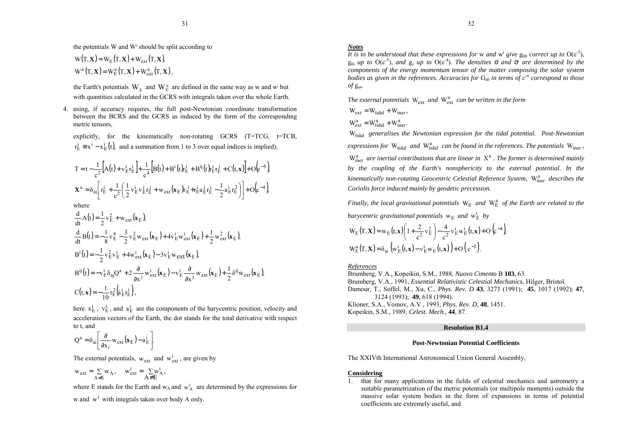the potentials W and  $W^a$  should be split according to

$$
W(T, \mathbf{X}) = W_E(T, \mathbf{X}) + W_{ext}(T, \mathbf{X}),
$$
  
\n
$$
W^a(T, \mathbf{X}) = W_E^a(T, \mathbf{X}) + W_{ext}^a(T, \mathbf{X}),
$$

the Earth's potentials  $W_E^-$  and  $W_E^a$  are defined in the same way as w and w<sup>i</sup> but with quantities calculated in the GCRS with integrals taken over the whole Earth.

4. using, if accuracy requires, the full post-Newtonian coordinate transformation between the BCRS and the GCRS as induced by the form of the corresponding metric tensors,

explicitly, for the kinematically non-rotating GCRS (T=TCG, t=TCB,  $r_E^i = x^i - x_E^i(t)$ , and a summation from 1 to 3 over equal indices is implied),

$$
T = t - \frac{1}{c^2} \Big[ A(t) + v_E^i r_E^i \Big] + \frac{1}{c^4} \Big[ B(t) + B^i(t) r_E^i + B^{ij}(t) r_E^i r_E^j + C(t, x) \Big] + O(c^{-5})
$$
  

$$
\mathbf{X}^a = \delta_{ai} \Big[ r_E^i + \frac{1}{c^2} \Big( \frac{1}{2} v_E^i v_E^j r_E^j + w_{ext}(\mathbf{x}_E) r_E^i + r_E^i a_E^i r_E^j - \frac{1}{2} a_E^i r_E^2 \Big) \Big] + O(c^{-4}),
$$

where

$$
\frac{d}{dt}A(t) = \frac{1}{2}v_E^2 + w_{ext}(\mathbf{x}_E),
$$
\n
$$
\frac{d}{dt}B(t) = -\frac{1}{8}v_E^4 - \frac{3}{2}v_E^2w_{ext}(\mathbf{x}_E) + 4v_E^iw_{ext}^i(\mathbf{x}_E) + \frac{1}{2}w_{ext}^2(\mathbf{x}_E),
$$
\n
$$
B^i(t) = -\frac{1}{2}v_E^2v_E^i + 4w_{ext}^i(\mathbf{x}_E) - 3v_E^iw_{ext}(\mathbf{x}_E),
$$
\n
$$
B^{ij}(t) = -v_E^i\delta_{aj}Q^a + 2\frac{\partial}{\partial x^j}w_{ext}^i(\mathbf{x}_E) - v_E^i\frac{\partial}{\partial x^j}w_{ext}(\mathbf{x}_E) + \frac{1}{2}\delta^{ij}\dot{w}_{ext}(\mathbf{x}_E),
$$
\n
$$
C(t, \mathbf{x}) = -\frac{1}{10}r_E^2(\dot{a}_E^i r_E^i),
$$

here  $x_{E}^{i}$ ,  $v_{E}^{i}$ , and  $a_{E}^{i}$  are the components of the barycentric position, velocity and acceleration vectors of the Earth, the dot stands for the total derivative with respect to t, and

$$
Q^{a} = \delta_{ai} \left[ \frac{\partial}{\partial x_{i}} w_{ext} (\mathbf{x}_{E}) - a_{E}^{i} \right].
$$

The external potentials,  $w_{ext}$  and  $w_{ext}^{i}$ , are given by

$$
w_{ext} = \sum_{A \neq E} w_A
$$
,  $w_{ext}^i = \sum_{A \neq E} w_A^i$ ,

where E stands for the Earth and  $w_A$  and  $w_A^i$  are determined by the expressions for w and  $w^i$  with integrals taken over body A only.

## *Notes*

It is to be understood that these expressions for **w** and **w**<sup>*i*</sup> give  $g_{00}$  correct up to  $O(c^{5})$ ,  $g_{0i}$  *up to*  $O(c^{5})$ *, and*  $g_{ij}$  *up to*  $O(c^{4})$ *. The densities*  $\sigma$  *and*  $\sigma^{i}$  *are determined by the components of the energy momentum tensor of the matter composing the solar system bodies as given in the references. Accuracies for*  $G_{ab}$  *in terms of*  $c^n$  correspond to those  $of g_{uv}.$ 

The external potentials  $W_{ext}$  and  $W_{ext}^{a}$  can be written in the form

$$
W_{ext} = W_{tidal} + W_{iner},
$$

$$
W_{ext}^a = W_{tidal}^a + W_{iner}^a.
$$

Wtidal *generalises the Newtonian expression for the tidal potential. Post-Newtonian*

*expressions for* W<sub>tidal</sub> and W<sub>tidal</sub> can be found in the references. The potentials W<sub>iner</sub>,

W<sub>iner</sub> are inertial contributions that are linear in  $X^a$  . The former is determined mainly *by the coupling of the Earth's nonsphericity to the external potential. In the kinematically non-rotating Geocentric Celestial Reference System, W<sub>iner</sub> describes the Coriolis force induced mainly by geodetic precession.*

*Finally, the local gravitational potentials*  $W_E$  and  $W_E^a$  of the Earth are related to the barycentric gravitational potentials  $w_E$  and  $w_E^i$  by

$$
W_{E}(T, \mathbf{X}) = w_{E}(t, \mathbf{x}) \left( 1 + \frac{2}{c^{2}} v_{E}^{2} \right) - \frac{4}{c^{2}} v_{E}^{i} w_{E}^{i}(t, \mathbf{x}) + O\left(c^{-4}\right)
$$
  

$$
W_{E}^{a}(T, \mathbf{X}) = \delta_{ai} \left( w_{E}^{i}(t, \mathbf{x}) - v_{E}^{i} w_{E}(t, \mathbf{x}) \right) + O\left(c^{-2}\right).
$$

#### *References*

Brumberg, V.A., Kopeikin, S.M., 1988, *Nuovo Cimento* B **103**, 63. Brumberg, V.A., 1991, *Essential Relativistic Celestial Mechanics*, Hilger, Bristol. Damour, T., Soffel, M., Xu, C., *Phys. Rev. D* **43**, 3273 (1991); **45**, 1017 (1992); **47**, 3124 (1993); **49**, 618 (1994). Klioner, S.A., Voinov, A.V., 1993, *Phys. Rev. D*, **48**, 1451. Kopeikin, S.M., 1989, *Celest. Mech.*, **44**, 87.

#### **Resolution B1.4**

## **Post-Newtonian Potential Coefficients**

The XXIVth International Astronomical Union General Assembly,

## **Considering**

1. that for many applications in the fields of celestial mechanics and astrometry a suitable parametrization of the metric potentials (or multipole moments) outside the massive solar system bodies in the form of expansions in terms of potential coefficients are extremely useful, and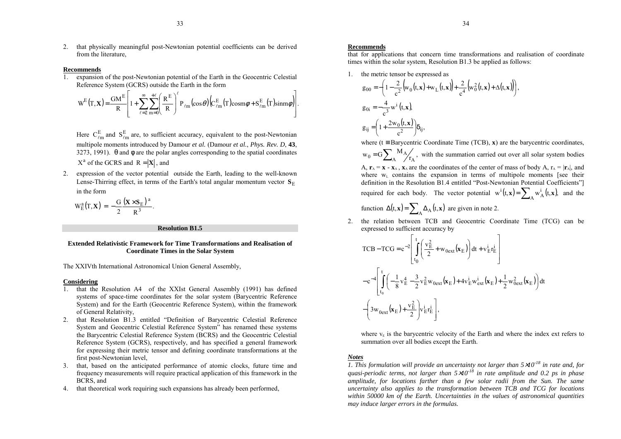2. that physically meaningful post-Newtonian potential coefficients can be derived from the literature,

#### **Recommends**

1. expansion of the post-Newtonian potential of the Earth in the Geocentric Celestial Reference System (GCRS) outside the Earth in the form

$$
W^{E}(T, \mathbf{X}) = \frac{GM^{E}}{R} \left[ 1 + \sum_{\ell=2}^{\infty} \sum_{m=0}^{+\ell} \left( \frac{R^{E}}{R} \right)^{\ell} P_{\ell m}(\cos \theta) \Big( C_{\ell m}^{E}(T) \cos m \phi + S_{\ell m}^{E}(T) \sin m \phi \Big) \right].
$$

Here  $C_{\ell m}^{\rm E}$  and  $S_{\ell m}^{\rm E}$  are, to sufficient accuracy, equivalent to the post-Newtonian multipole moments introduced by Damour *et al.* (Damour *et al.*, *Phys. Rev. D*, **43**, 3273, 1991).  $\theta$  and  $\phi$  are the polar angles corresponding to the spatial coordinates  $X^a$  of the GCRS and  $R = |X|$ , and

2. expression of the vector potential outside the Earth, leading to the well-known Lense-Thirring effect, in terms of the Earth's total angular momentum vector  $S_E$ in the form

$$
W_{E}^{a}(T,\mathbf{X})=-\frac{G}{2}\frac{(\mathbf{X}\times\mathbf{S}_{E})^{a}}{R^{3}}.
$$

#### **Resolution B1.5**

#### **Extended Relativistic Framework for Time Transformations and Realisation ofCoordinate Times in the Solar System**

The XXIVth International Astronomical Union General Assembly,

#### **Considering**

- 1. that the Resolution A4 of the XXIst General Assembly (1991) has defined systems of space-time coordinates for the solar system (Barycentric Reference System) and for the Earth (Geocentric Reference System), within the framework of General Relativity,
- 2. that Resolution B1.3 entitled "Definition of Barycentric Celestial Reference System and Geocentric Celestial Reference System<sup>3</sup> has renamed these systems the Barycentric Celestial Reference System (BCRS) and the Geocentric Celestial Reference System (GCRS), respectively, and has specified a general framework for expressing their metric tensor and defining coordinate transformations at the first post-Newtonian level,
- 3. that, based on the anticipated performance of atomic clocks, future time and frequency measurements will require practical application of this framework in the BCRS, and
- 4. that theoretical work requiring such expansions has already been performed,

#### **Recommends**

that for applications that concern time transformations and realisation of coordinate times within the solar system, Resolution B1.3 be applied as follows:

1. the metric tensor be expressed as

$$
g_{00} = -\left(1 - \frac{2}{c^2} \left(w_0(t, \mathbf{x}) + w_L(t, \mathbf{x})\right) + \frac{2}{c^4} \left(w_0^2(t, \mathbf{x}) + \Delta(t, \mathbf{x})\right)\right),
$$
  
\n
$$
g_{0i} = -\frac{4}{c^3} w^i(t, \mathbf{x}),
$$
  
\n
$$
g_{ij} = \left(1 + \frac{2w_0(t, \mathbf{x})}{c^2}\right) \delta_{ij},
$$

where ( $t \equiv$  Barycentric Coordinate Time (TCB), **x**) are the barycentric coordinates,

 $=\text{G}\sum_{\text{A}}{}^{\text{M}}\text{A}\!\!/\!\!{}_{\Gamma_{\text{A}}}$  $_0 = G \sum_{\Lambda} {}^{N1} A \frac{A}{I_{\Lambda}}$  $W_0 = G \sum_{n=1}^{M} M_A$ , with the summation carried out over all solar system bodies  $A$ ,  $\mathbf{r}_A = \mathbf{x} - \mathbf{x}_A$ ,  $\mathbf{x}_A$  are the coordinates of the center of mass of body A,  $\mathbf{r}_A = |\mathbf{r}_A|$ , and where  $w_L$  contains the expansion in terms of multipole moments [see their definition in the Resolution  $B1.4$  entitled "Post-Newtonian Potential Coefficients" required for each body. The vector potential  $w^{i}(t, x) = \sum_{A} w_{A}^{i}(t, x)$  $w^{i}(t, x) = \sum_{n} w_{A}^{i}(t, x)$ , and the function  $\Delta(t, \mathbf{x}) = \sum_{A} \Delta_A(t, \mathbf{x})$  are given in note 2.

2. the relation between TCB and Geocentric Coordinate Time (TCG) can be expressed to sufficient accuracy by

$$
TCB - TCG = c^{-2} \left[ \int_{t_0}^{t} \left( \frac{v_E^2}{2} + w_{0ext}(\mathbf{x}_E) \right) dt + v_E^i r_E^i \right]
$$
  

$$
- c^{-4} \left[ \int_{t_0}^{t} \left( -\frac{1}{8} v_E^4 - \frac{3}{2} v_E^2 w_{0ext}(\mathbf{x}_E) + 4v_E^i w_{ext}^i(\mathbf{x}_E) + \frac{1}{2} w_{0ext}^2(\mathbf{x}_E) \right) dt - \left( 3w_{0ext}(\mathbf{x}_E) + \frac{v_E^2}{2} \right) v_E^i r_E^i \right],
$$

where  $v<sub>E</sub>$  is the barycentric velocity of the Earth and where the index ext refers to summation over all bodies except the Earth.

## *Notes*

 *1. This formulation will provide an uncertainty not larger than 5* <sup>×</sup>*10-18 in rate and, for quasi-periodic terms, not larger than 5* <sup>×</sup>*10-18 in rate amplitude and 0.2 ps in phase amplitude, for locations farther than a few solar radii from the Sun. The same uncertainty also applies to the transformation between TCB and TCG for locations within 50000 km of the Earth. Uncertainties in the values of astronomical quantities may induce larger errors in the formulas.*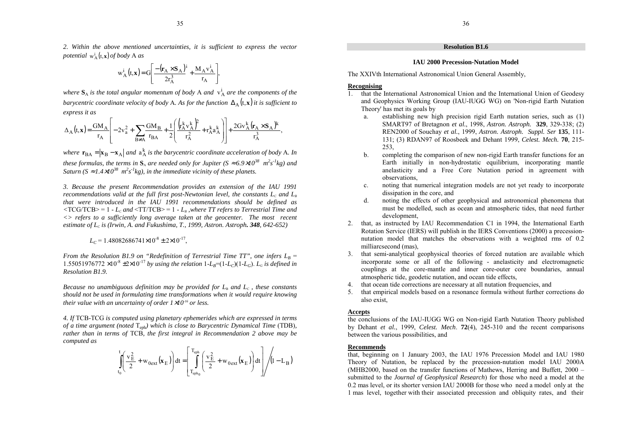*2. Within the above mentioned uncertainties, it is sufficient to express the vector potential*  $w_A^i(t, x)$  *of body* **A** *as* 

$$
w_A^i\left(t,\mathbf{x}\right) = G\left[\frac{-\left(\mathbf{r}_A \times \mathbf{S}_A\right)^i}{2r_A^3} + \frac{M_A v_A^i}{r_A}\right],
$$

*where*  $S_A$  *is the total angular momentum of body* A *and*  $v_A^i$  *are the components of the barycentric coordinate velocity of body* A. As for the function  $\Delta_\mathrm{A}(\mathsf{t},\mathbf{x})$  it is sufficient to *express it as*

$$
\Delta_A(t,\mathbf{x}) = \frac{GM_A}{r_A} \left[ -2v_a^2 + \sum_{B \neq A} \frac{GM_B}{r_{BA}} + \frac{1}{2} \left( \frac{\left( r_A^k v_A^k \right)^2}{r_A^2} + r_A^k a_A^k \right) \right] + \frac{2Gv_A^k \left( r_A \times S_A \right)^k}{r_A^3},
$$

*where*  $\mathbf{r}_{BA} = |\mathbf{x}_B - \mathbf{x}_A|$  and  $\mathbf{a}_A^k$  is the barycentric coordinate acceleration of body A. In *these formulas, the terms in*  $S_A$  *are needed only for Jupiter* ( $S \approx 6.9 \times 10^{38}$   $m^2 s^2 kg$ ) and *Saturn* ( $S \approx 1.4 \times 10^{38}$   $m^2 s^2 kg$ ), in the immediate vicinity of these planets.

*3. Because the present Recommendation provides an extension of the IAU 1991 recommendations valid at the full first post-Newtonian level, the constants L<sub>c</sub> and*  $L<sub>B</sub>$ *that were introduced in the IAU 1991 recommendations should be defined as*  $\langle \text{TCG/TCB} \rangle = 1$  -  $L_c$  and  $\langle \text{TT/TCB} \rangle = 1$  -  $L_B$  ,where TT refers to Terrestrial Time and *<> refers to a sufficiently long average taken at the geocenter. The most recent estimate of LC is (Irwin, A. and Fukushima, T., 1999, Astron. Astroph. 348, 642-652)*

$$
L_C = 1.48082686741 \times 10^{-8} \pm 2 \times 10^{-17},
$$

*From the Resolution B1.9 on "Redefinition of Terrestrial Time TT", one infers*  $L_B$  =  $1.55051976772 \times 10^{-8} \pm 2 \times 10^{-17}$  by using the relation  $1-L_B=(1-L_C)(1-L_G)$ .  $L_G$  is defined in *Resolution B1.9.*

*Because no unambiguous definition may be provided for L*B *and LC , these constants should not be used in formulating time transformations when it would require knowing their value with an uncertainty of order 1* ×*10-16 or less.*

*4. If* TCB-TCG *is computed using planetary ephemerides which are expressed in terms of a time argument (noted*  Teph*) which is close to Barycentric Dynamical Time* (TDB)*, rather than in terms of* TCB*, the first integral in Recommendation 2 above may be computed as*

$$
\int_{t_0}^t \left( \frac{v_E^2}{2} + w_{0ext}(\mathbf{x}_E) \right) dt = \left[ \int_{T_{eph_0}}^{T_{eph}} \left( \frac{v_E^2}{2} + w_{0ext}(\mathbf{x}_E) \right) dt \right] / \left( 1 - L_B \right)
$$

## **Resolution B1.6**

## **IAU 2000 Precession-Nutation Model**

The XXIVth International Astronomical Union General Assembly,

## **Recognising**

- 1. that the International Astronomical Union and the International Union of Geodesy and Geophysics Working Group (IAU-IUGG WG) on 'Non-rigid Earth Nutation Theory' has met its goals by
	- a. establishing new high precision rigid Earth nutation series, such as (1) SMART97 of Bretagnon *et al.*, 1998, *Astron. Astroph.* **329**, 329-338; (2) REN2000 of Souchay *et al.*, 1999, *Astron. Astroph. Suppl. Ser* **135**, 111- 131; (3) RDAN97 of Roosbeek and Dehant 1999, *Celest. Mech.* **70**, 215- 253,
	- b. completing the comparison of new non-rigid Earth transfer functions for an Earth initially in non-hydrostatic equilibrium, incorporating mantle anelasticity and a Free Core Nutation period in agreement with observations,
	- c. noting that numerical integration models are not yet ready to incorporate dissipation in the core, and
	- d. noting the effects of other geophysical and astronomical phenomena that must be modelled, such as ocean and atmospheric tides, that need further development,
- 2. that, as instructed by IAU Recommendation C1 in 1994, the International Earth Rotation Service (IERS) will publish in the IERS Conventions (2000) a precessionnutation model that matches the observations with a weighted rms of 0.2 milliarcsecond (mas),
- 3. that semi-analytical geophysical theories of forced nutation are available which incorporate some or all of the following - anelasticity and electromagnetic couplings at the core-mantle and inner core-outer core boundaries, annual atmospheric tide, geodetic nutation, and ocean tide effects,
- 4. that ocean tide corrections are necessary at all nutation frequencies, and
- 5. that empirical models based on a resonance formula without further corrections do also exist,

#### **Accepts**

the conclusions of the IAU-IUGG WG on Non-rigid Earth Nutation Theory published by Dehant *et al.*, 1999, *Celest. Mech*. **72**(4), 245-310 and the recent comparisons between the various possibilities, and

## **Recommends**

that, beginning on 1 January 2003, the IAU 1976 Precession Model and IAU 1980 Theory of Nutation, be replaced by the precession-nutation model IAU 2000A (MHB2000, based on the transfer functions of Mathews, Herring and Buffett,  $2000$ submitted to the *Journal of Geophysical Research*) for those who need a model at the 0.2 mas level, or its shorter version IAU 2000B for those who need a model only at the 1 mas level, together with their associated precession and obliquity rates, and their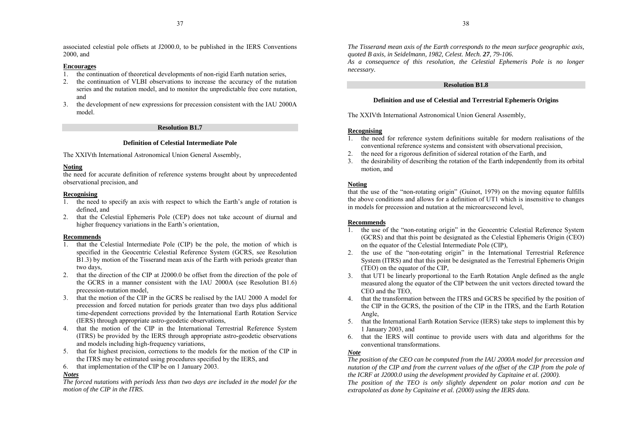associated celestial pole offsets at J2000.0, to be published in the IERS Conventions 2000, and

## **Encourages**

- 1. the continuation of theoretical developments of non-rigid Earth nutation series,
- 2. the continuation of VLBI observations to increase the accuracy of the nutation series and the nutation model, and to monitor the unpredictable free core nutation, and
- 3. the development of new expressions for precession consistent with the IAU 2000A model.

## **Resolution B1.7**

## **Definition of Celestial Intermediate Pole**

The XXIVth International Astronomical Union General Assembly,

## **Noting**

the need for accurate definition of reference systems brought about by unprecedented observational precision, and

## **Recognising**

- 1. the need to specify an axis with respect to which the Earth's angle of rotation is defined, and
- 2. that the Celestial Ephemeris Pole (CEP) does not take account of diurnal and higher frequency variations in the Earth's orientation,

## **Recommends**

- 1. that the Celestial Intermediate Pole (CIP) be the pole, the motion of which is specified in the Geocentric Celestial Reference System (GCRS, see Resolution B1.3) by motion of the Tisserand mean axis of the Earth with periods greater than two days,
- 2. that the direction of the CIP at J2000.0 be offset from the direction of the pole of the GCRS in a manner consistent with the IAU 2000A (see Resolution B1.6) precession-nutation model,
- 3. that the motion of the CIP in the GCRS be realised by the IAU 2000 A model for precession and forced nutation for periods greater than two days plus additional time-dependent corrections provided by the International Earth Rotation Service (IERS) through appropriate astro-geodetic observations,
- 4. that the motion of the CIP in the International Terrestrial Reference System (ITRS) be provided by the IERS through appropriate astro-geodetic observations and models including high-frequency variations,
- 5. that for highest precision, corrections to the models for the motion of the CIP in the ITRS may be estimated using procedures specified by the IERS, and
- 6. that implementation of the CIP be on 1 January 2003.

## *Notes*

*The forced nutations with periods less than two days are included in the model for the motion of the CIP in the ITRS.*

*The Tisserand mean axis of the Earth corresponds to the mean surface geographic axis, quoted B axis, in Seidelmann, 1982, Celest. Mech. 27, 79-106.*

*As a consequence of this resolution, the Celestial Ephemeris Pole is no longer necessary.*

## **Resolution B1.8**

## **Definition and use of Celestial and Terrestrial Ephemeris Origins**

The XXIVth International Astronomical Union General Assembly,

## **Recognising**

- 1. the need for reference system definitions suitable for modern realisations of the conventional reference systems and consistent with observational precision,
- 2.the need for a rigorous definition of sidereal rotation of the Earth, and
- 3. the desirability of describing the rotation of the Earth independently from its orbital motion, and

## **Noting**

that the use of the "non-rotating origin" (Guinot,  $1979$ ) on the moving equator fulfills the above conditions and allows for a definition of UT1 which is insensitive to changes in models for precession and nutation at the microarcsecond level,

## **Recommends**

- 1.the use of the "non-rotating origin" in the Geocentric Celestial Reference System (GCRS) and that this point be designated as the Celestial Ephemeris Origin (CEO) on the equator of the Celestial Intermediate Pole (CIP),
- 2.the use of the "non-rotating origin" in the International Terrestrial Reference System (ITRS) and that this point be designated as the Terrestrial Ephemeris Origin (TEO) on the equator of the CIP,
- 3. that UT1 be linearly proportional to the Earth Rotation Angle defined as the angle measured along the equator of the CIP between the unit vectors directed toward the CEO and the TEO,
- 4. that the transformation between the ITRS and GCRS be specified by the position of the CIP in the GCRS, the position of the CIP in the ITRS, and the Earth Rotation Angle,
- 5. that the International Earth Rotation Service (IERS) take steps to implement this by 1 January 2003, and
- 6. that the IERS will continue to provide users with data and algorithms for the conventional transformations.

## *Note*

*The position of the CEO can be computed from the IAU 2000A model for precession and nutation of the CIP and from the current values of the offset of the CIP from the pole of the ICRF at J2000.0 using the development provided by Capitaine et al. (2000).*

*The position of the TEO is only slightly dependent on polar motion and can be extrapolated as done by Capitaine et al. (2000) using the IERS data.*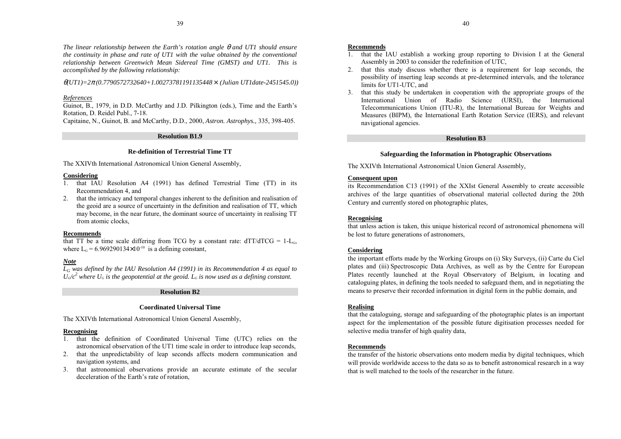*The linear relationship between the Earth's rotation angle* θ *and UT1 should ensure the continuity in phase and rate of UT1 with the value obtained by the conventional relationship between Greenwich Mean Sidereal Time (GMST) and UT1. This is accomplished by the following relationship:*

θ*(UT1)=2*π *(0.7790572732640+1.00273781191135448* <sup>×</sup> *(Julian UT1date-2451545.0))*

## *References*

Guinot, B., 1979, in D.D. McCarthy and J.D. Pilkington (eds.), Time and the Earth's Rotation, D. Reidel Publ., 7-18.

Capitaine, N., Guinot, B. and McCarthy, D.D., 2000, *Astron. Astrophys.,* 335, 398-405.

## **Resolution B1.9**

## **Re-definition of Terrestrial Time TT**

The XXIVth International Astronomical Union General Assembly,

## **Considering**

- 1. that IAU Resolution A4 (1991) has defined Terrestrial Time (TT) in its Recommendation 4, and
- 2. that the intricacy and temporal changes inherent to the definition and realisation of the geoid are a source of uncertainty in the definition and realisation of TT, which may become, in the near future, the dominant source of uncertainty in realising TT from atomic clocks,

## **Recommends**

that TT be a time scale differing from TCG by a constant rate:  $dTT/dTCG = 1-L<sub>G</sub>$ , where  $L<sub>G</sub> = 6.969290134 \times 10<sup>-10</sup>$  is a defining constant,

## *Note*

*LG was defined by the IAU Resolution A4 (1991) in its Recommendation 4 as equal to*  $U_{\rm g}/c^2$  where  $U_{\rm G}$  is the geopotential at the geoid.  $L_{\rm G}$  is now used as a defining constant.

## **Resolution B2**

## **Coordinated Universal Time**

The XXIVth International Astronomical Union General Assembly,

## **Recognising**

- 1. that the definition of Coordinated Universal Time (UTC) relies on the astronomical observation of the UT1 time scale in order to introduce leap seconds,
- 2. that the unpredictability of leap seconds affects modern communication and navigation systems, and
- 3. that astronomical observations provide an accurate estimate of the secular deceleration of the Earth's rate of rotation.

## **Recommends**

- 1. that the IAU establish a working group reporting to Division I at the General Assembly in 2003 to consider the redefinition of UTC,
- 2. that this study discuss whether there is a requirement for leap seconds, the possibility of inserting leap seconds at pre-determined intervals, and the tolerance limits for UT1-UTC, and
- 3. that this study be undertaken in cooperation with the appropriate groups of the International Union of Radio Science (URSI), the International Telecommunications Union (ITU-R), the International Bureau for Weights and Measures (BIPM), the International Earth Rotation Service (IERS), and relevant navigational agencies.

## **Resolution B3**

## **Safeguarding the Information in Photographic Observations**

The XXIVth International Astronomical Union General Assembly,

## **Consequent upon**

its Recommendation C13 (1991) of the XXIst General Assembly to create accessible archives of the large quantities of observational material collected during the 20th Century and currently stored on photographic plates,

## **Recognising**

that unless action is taken, this unique historical record of astronomical phenomena will be lost to future generations of astronomers,

## **Considering**

the important efforts made by the Working Groups on (i) Sky Surveys, (ii) Carte du Ciel plates and (iii) Spectroscopic Data Archives, as well as by the Centre for European Plates recently launched at the Royal Observatory of Belgium, in locating and cataloguing plates, in defining the tools needed to safeguard them, and in negotiating the means to preserve their recorded information in digital form in the public domain, and

## **Realising**

that the cataloguing, storage and safeguarding of the photographic plates is an important aspect for the implementation of the possible future digitisation processes needed for selective media transfer of high quality data,

## **Recommends**

the transfer of the historic observations onto modern media by digital techniques, which will provide worldwide access to the data so as to benefit astronomical research in a way that is well matched to the tools of the researcher in the future.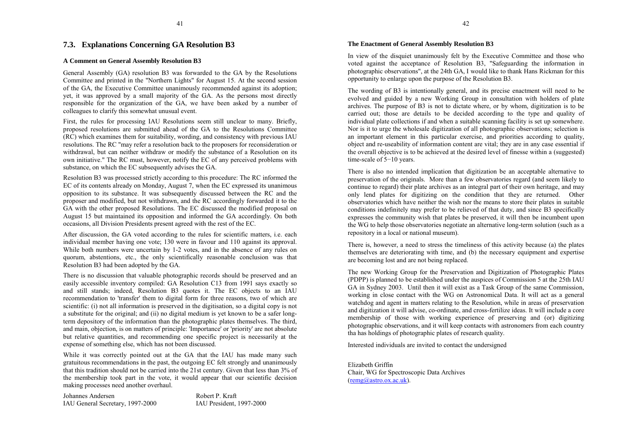## <span id="page-21-0"></span>**7.3. Explanations Concerning GA Resolution B3**

#### **A Comment on General Assembly Resolution B3**

General Assembly (GA) resolution B3 was forwarded to the GA by the Resolutions Committee and printed in the "Northern Lights" for August 15. At the second session of the GA, the Executive Committee unanimously recommended against its adoption; yet, it was approved by a small majority of the GA. As the persons most directly responsible for the organization of the GA, we have been asked by a number of colleagues to clarify this somewhat unusual event.

First, the rules for processing IAU Resolutions seem still unclear to many. Briefly, proposed resolutions are submitted ahead of the GA to the Resolutions Committee (RC) which examines them for suitability, wording, and consistency with previous IAU resolutions. The RC "may refer a resolution back to the proposers for reconsideration or withdrawal, but can neither withdraw or modify the substance of a Resolution on its own initiative." The RC must, however, notify the EC of any perceived problems with substance, on which the EC subsequently advises the GA.

Resolution B3 was processed strictly according to this procedure: The RC informed the EC of its contents already on Monday, August 7, when the EC expressed its unanimous opposition to its substance. It was subsequently discussed between the RC and the proposer and modified, but not withdrawn, and the RC accordingly forwarded it to the GA with the other proposed Resolutions. The EC discussed the modified proposal on August 15 but maintained its opposition and informed the GA accordingly. On both occasions, all Division Presidents present agreed with the rest of the EC.

After discussion, the GA voted according to the rules for scientific matters, i.e. each individual member having one vote; 130 were in favour and 110 against its approval. While both numbers were uncertain by 1-2 votes, and in the absence of any rules on quorum, abstentions, etc., the only scientifically reasonable conclusion was that Resolution B3 had been adopted by the GA.

There is no discussion that valuable photographic records should be preserved and an easily accessible inventory compiled: GA Resolution C13 from 1991 says exactly so and still stands; indeed, Resolution B3 quotes it. The EC objects to an IAU recommendation to 'transfer' them to digital form for three reasons, two of which are scientific: (i) not all information is preserved in the digitisation, so a digital copy is not a substitute for the original; and (ii) no digital medium is yet known to be a safer longterm depository of the information than the photographic plates themselves. The third, and main, objection, is on matters of principle: 'Importance' or 'priority' are not absolute but relative quantities, and recommending one specific project is necessarily at the expense of something else, which has not been discussed.

While it was correctly pointed out at the GA that the IAU has made many such gratuitous recommendations in the past, the outgoing EC felt strongly and unanimously that this tradition should not be carried into the 21st century. Given that less than 3% of the membership took part in the vote, it would appear that our scientific decision making processes need another overhaul.

| Johannes Andersen                | Robert P. Kraft          |
|----------------------------------|--------------------------|
| IAU General Secretary, 1997-2000 | IAU President, 1997-2000 |

## **The Enactment of General Assembly Resolution B3**

In view of the disquiet unanimously felt by the Executive Committee and those who voted against the acceptance of Resolution B3, "Safeguarding the information in photographic observations", at the 24th GA, I would like to thank Hans Rickman for this opportunity to enlarge upon the purpose of the Resolution B3.

The wording of B3 is intentionally general, and its precise enactment will need to be evolved and guided by a new Working Group in consultation with holders of plate archives. The purpose of B3 is not to dictate where, or by whom, digitization is to be carried out; those are details to be decided according to the type and quality of individual plate collections if and when a suitable scanning facility is set up somewhere. Nor is it to urge the wholesale digitization of all photographic observations; selection is an important element in this particular exercise, and priorities according to quality, object and re-useability of information content are vital; they are in any case essential if the overall objective is to be achieved at the desired level of finesse within a (suggested) time-scale of 5<sup>−</sup>10 years.

There is also no intended implication that digitization be an acceptable alternative to preservation of the originals. More than a few observatories regard (and seem likely to continue to regard) their plate archives as an integral part of their own heritage, and may only lend plates for digitizing on the condition that they are returned. Other observatories which have neither the wish nor the means to store their plates in suitable conditions indefinitely may prefer to be relieved of that duty, and since B3 specifically expresses the community wish that plates be preserved, it will then be incumbent upon the WG to help those observatories negotiate an alternative long-term solution (such as a repository in a local or national museum).

There is, however, a need to stress the timeliness of this activity because (a) the plates themselves are deteriorating with time, and (b) the necessary equipment and expertise are becoming lost and are not being replaced.

The new Working Group for the Preservation and Digitization of Photographic Plates (PDPP) is planned to be established under the auspices of Commission 5 at the 25th IAU GA in Sydney 2003. Until then it will exist as a Task Group of the same Commission, working in close contact with the WG on Astronomical Data. It will act as a general watchdog and agent in matters relating to the Resolution, while in areas of preservation and digitization it will advise, co-ordinate, and cross-fertilize ideas. It will include a core membership of those with working experience of preserving and (or) digitizing photographic observations, and it will keep contacts with astronomers from each country tha has holdings of photographic plates of research quality.

Interested individuals are invited to contact the undersigned

Elizabeth GriffinChair, WG for Spectroscopic Data Archives  $(remg/aastro.ox.ac.uk)$ .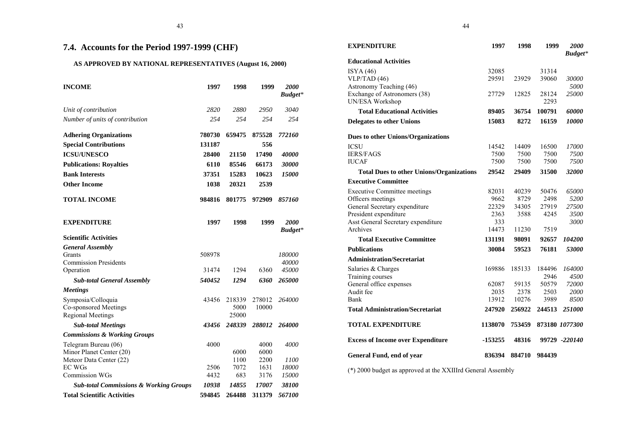## <span id="page-22-0"></span>**7.4. Accounts for the Period 1997-1999 (CHF)**

## **AS APPROVED BY NATIONAL REPRESENTATIVES (August 16, 2000)**

| <b>INCOME</b>                                                           | 1997   | 1998                    | 1999            | 2000<br><b>Budget*</b> |
|-------------------------------------------------------------------------|--------|-------------------------|-----------------|------------------------|
| Unit of contribution                                                    | 2820   | 2880                    | 2950            | 3040                   |
| Number of units of contribution                                         | 2.54   | 2.54                    | 254             | 254                    |
| <b>Adhering Organizations</b>                                           | 780730 | 659475                  | 875528          | 772160                 |
| <b>Special Contributions</b>                                            | 131187 |                         | 556             |                        |
| <b>ICSU/UNESCO</b>                                                      | 28400  | 21150                   | 17490           | <i><b>40000</b></i>    |
| <b>Publications: Royalties</b>                                          | 6110   | 85546                   | 66173           | 30000                  |
| <b>Bank Interests</b>                                                   | 37351  | 15283                   | 10623           | 15000                  |
| <b>Other Income</b>                                                     | 1038   | 20321                   | 2539            |                        |
| <b>TOTAL INCOME</b>                                                     | 984816 | 801775                  | 972909          | 857160                 |
| <b>EXPENDITURE</b>                                                      | 1997   | 1998                    | 1999            | <b>2000</b><br>Budget* |
| <b>Scientific Activities</b>                                            |        |                         |                 |                        |
| <b>General Assembly</b>                                                 |        |                         |                 |                        |
| Grants<br><b>Commission Presidents</b>                                  | 508978 |                         |                 | 180000<br>40000        |
| Operation                                                               | 31474  | 1294                    | 6360            | 45000                  |
| <b>Sub-total General Assembly</b>                                       | 540452 | 1294                    | 6360            | 265000                 |
| <b>Meetings</b>                                                         |        |                         |                 |                        |
| Symposia/Colloquia<br>Co-sponsored Meetings<br><b>Regional Meetings</b> | 43456  | 218339<br>5000<br>25000 | 278012<br>10000 | 264000                 |
| <b>Sub-total Meetings</b>                                               | 43456  | 248339                  | 288012          | 264000                 |
| <b>Commissions &amp; Working Groups</b>                                 |        |                         |                 |                        |
| Telegram Bureau (06)<br>Minor Planet Center (20)                        | 4000   | 6000                    | 4000<br>6000    | <i>4000</i>            |
| Meteor Data Center (22)                                                 |        | 1100                    | 2200            | <i>1100</i>            |
| <b>EC WGs</b>                                                           | 2506   | 7072                    | 1631            | 18000                  |
| Commission WGs                                                          | 4432   | 683                     | 3176            | 15000                  |
| <b>Sub-total Commissions &amp; Working Groups</b>                       | 10938  | 14855                   | 17007           | 38100                  |
| <b>Total Scientific Activities</b>                                      | 594845 | 264488                  | 311379          | 567100                 |

| <b>EXPENDITURE</b>                              | 1997         | 1998   | 1999   | 2000<br>Budget* |
|-------------------------------------------------|--------------|--------|--------|-----------------|
| <b>Educational Activities</b>                   |              |        |        |                 |
| ISYA(46)                                        | 32085        |        | 31314  |                 |
| VLP/TAD(46)                                     | 29591        | 23929  | 39060  | 30000           |
| Astronomy Teaching (46)                         |              |        |        | 5000            |
| Exchange of Astronomers (38)                    | 27729        | 12825  | 28124  | 25000           |
| UN/ESA Workshop                                 |              |        | 2293   |                 |
| <b>Total Educational Activities</b>             | 89405        | 36754  | 100791 | 60000           |
| <b>Delegates to other Unions</b>                | 15083        | 8272   | 16159  | 10000           |
| <b>Dues to other Unions/Organizations</b>       |              |        |        |                 |
| <b>ICSU</b>                                     | 14542        | 14409  | 16500  | 17000           |
| <b>IERS/FAGS</b>                                | 7500         | 7500   | 7500   | 7500            |
| <b>IUCAF</b>                                    | 7500         | 7500   | 7500   | 7500            |
| <b>Total Dues to other Unions/Organizations</b> | 29542        | 29409  | 31500  | 32000           |
| <b>Executive Committee</b>                      |              |        |        |                 |
| <b>Executive Committee meetings</b>             | 82031        | 40239  | 50476  | 65000           |
| Officers meetings                               | 9662         | 8729   | 2498   | 5200            |
| General Secretary expenditure                   | 22329        | 34305  | 27919  | 27500           |
| President expenditure                           | 2363         | 3588   | 4245   | 3500            |
| Asst General Secretary expenditure<br>Archives  | 333<br>14473 |        | 7519   | 3000            |
|                                                 |              | 11230  |        |                 |
| <b>Total Executive Committee</b>                | 131191       | 98091  | 92657  | 104200          |
| <b>Publications</b>                             | 30084        | 59523  | 76181  | 53000           |
| <b>Administration/Secretariat</b>               |              |        |        |                 |
| Salaries & Charges                              | 169886       | 185133 | 184496 | <i>164000</i>   |
| Training courses                                |              |        | 2946   | 4500            |
| General office expenses                         | 62087        | 59135  | 50579  | 72000           |
| Audit fee                                       | 2035         | 2378   | 2503   | 2000            |
| Bank                                            | 13912        | 10276  | 3989   | 8500            |
| <b>Total Administration/Secretariat</b>         | 247920       | 256922 | 244513 | 251000          |
| <b>TOTAL EXPENDITURE</b>                        | 1138070      | 753459 |        | 873180 1077300  |
| <b>Excess of Income over Expenditure</b>        | -153255      | 48316  |        | 99729 -220140   |
| General Fund, end of year                       | 836394       | 884710 | 984439 |                 |

(\*) 2000 budget as approved at the XXIIIrd General Assembly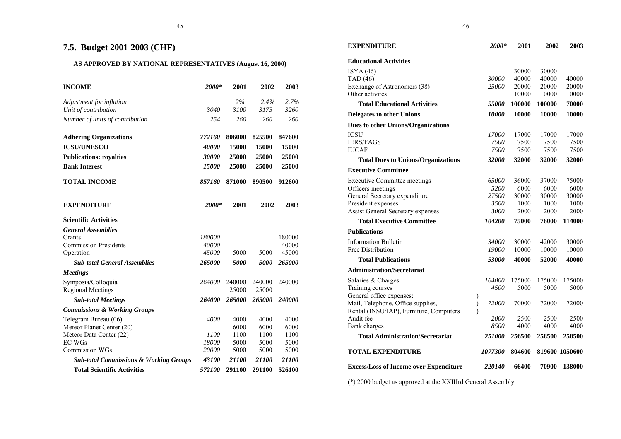## <span id="page-23-0"></span>**7.5. Budget 2001-2003 (CHF)**

## **AS APPROVED BY NATIONAL REPRESENTATIVES (August 16, 2000)**

| <b>INCOME</b>                                     | 2000*               | 2001   | 2002   | 2003           |
|---------------------------------------------------|---------------------|--------|--------|----------------|
| Adjustment for inflation                          |                     | 2%     | 2.4%   | 2.7%           |
| Unit of contribution                              | 3040                | 3100   | 3175   | 3260           |
| Number of units of contribution                   | 2.54                | 260    | 260    | 260            |
| <b>Adhering Organizations</b>                     | 772160              | 806000 | 825500 | 847600         |
| <b>ICSU/UNESCO</b>                                | <i><b>40000</b></i> | 15000  | 15000  | 15000          |
| <b>Publications: royalties</b>                    | 30000               | 25000  | 25000  | 25000          |
| <b>Bank Interest</b>                              | 15000               | 25000  | 25000  | 25000          |
| <b>TOTAL INCOME</b>                               | 857160              | 871000 | 890500 | 912600         |
| <b>EXPENDITURE</b>                                | 2000*               | 2001   | 2002   | 2003           |
| <b>Scientific Activities</b>                      |                     |        |        |                |
| <b>General Assemblies</b>                         |                     |        |        |                |
| Grants                                            | 180000              |        |        | 180000         |
| <b>Commission Presidents</b><br>Operation         | 40000<br>45000      | 5000   | 5000   | 40000<br>45000 |
| <b>Sub-total General Assemblies</b>               | 265000              | 5000   | 5000   | 265000         |
| <b>Meetings</b>                                   |                     |        |        |                |
| Symposia/Colloquia                                | 264000              | 240000 | 240000 | 240000         |
| <b>Regional Meetings</b>                          |                     | 25000  | 25000  |                |
| <b>Sub-total Meetings</b>                         | 264000              | 265000 | 265000 | 240000         |
| <b>Commissions &amp; Working Groups</b>           |                     |        |        |                |
| Telegram Bureau (06)                              | 4000                | 4000   | 4000   | 4000           |
| Meteor Planet Center (20)                         |                     | 6000   | 6000   | 6000           |
| Meteor Data Center (22)                           | 1100                | 1100   | 1100   | 1100           |
| <b>EC WGs</b>                                     | 18000               | 5000   | 5000   | 5000           |
| <b>Commission WGs</b>                             | 20000               | 5000   | 5000   | 5000           |
| <b>Sub-total Commissions &amp; Working Groups</b> | 43100               | 21100  | 21100  | 21100          |
| <b>Total Scientific Activities</b>                | 572100              | 291100 | 291100 | 526100         |

| <b>EXPENDITURE</b>                            |               | 2000*                | 2001   | 2002   | 2003           |
|-----------------------------------------------|---------------|----------------------|--------|--------|----------------|
| <b>Educational Activities</b>                 |               |                      |        |        |                |
| ISYA (46)                                     |               |                      | 30000  | 30000  |                |
| <b>TAD</b> (46)                               |               | 30000                | 40000  | 40000  | 40000          |
| Exchange of Astronomers (38)                  |               | 25000                | 20000  | 20000  | 20000          |
| Other activites                               |               |                      | 10000  | 10000  | 10000          |
| <b>Total Educational Activities</b>           |               | 55000                | 100000 | 100000 | 70000          |
| <b>Delegates to other Unions</b>              |               | <i>10000</i>         | 10000  | 10000  | 10000          |
| <b>Dues to other Unions/Organizations</b>     |               |                      |        |        |                |
| <b>ICSU</b>                                   |               | 17000                | 17000  | 17000  | 17000          |
| <b>IERS/FAGS</b>                              |               | 7500                 | 7500   | 7500   | 7500           |
| <b>IUCAF</b>                                  |               | 7500                 | 7500   | 7500   | 7500           |
| <b>Total Dues to Unions/Organizations</b>     |               | 32000                | 32000  | 32000  | 32000          |
| <b>Executive Committee</b>                    |               |                      |        |        |                |
| <b>Executive Committee meetings</b>           |               | 65000                | 36000  | 37000  | 75000          |
| Officers meetings                             |               | 5200                 | 6000   | 6000   | 6000           |
| General Secretary expenditure                 |               | 27500                | 30000  | 30000  | 30000          |
| President expenses                            |               | 3500                 | 1000   | 1000   | 1000           |
| Assist General Secretary expenses             |               | 3000                 | 2000   | 2000   | 2000           |
| <b>Total Executive Committee</b>              |               | 104200               | 75000  | 76000  | 114000         |
| <b>Publications</b>                           |               |                      |        |        |                |
| <b>Information Bulletin</b>                   |               | <i>34000</i>         | 30000  | 42000  | 30000          |
| Free Distribution                             |               | 19000                | 10000  | 10000  | 10000          |
| <b>Total Publications</b>                     |               | <i><b>53000</b></i>  | 40000  | 52000  | 40000          |
| <b>Administration/Secretariat</b>             |               |                      |        |        |                |
| Salaries & Charges                            |               | 164000               | 175000 | 175000 | 175000         |
| Training courses                              |               | 4500                 | 5000   | 5000   | 5000           |
| General office expenses:                      | $\mathcal{E}$ |                      |        |        |                |
| Mail, Telephone, Office supplies,             | $\mathcal{E}$ | 72000                | 70000  | 72000  | 72000          |
| Rental (INSU/IAP), Furniture, Computers       | $\lambda$     |                      |        |        |                |
| Audit fee                                     |               | <i>2000</i>          | 2500   | 2500   | 2500           |
| <b>Bank</b> charges                           |               | 8500                 | 4000   | 4000   | 4000           |
| <b>Total Administration/Secretariat</b>       |               | <i><b>251000</b></i> | 256500 | 258500 | 258500         |
| TOTAL EXPENDITURE                             |               | 1077300              | 804600 |        | 819600 1050600 |
|                                               |               |                      |        |        |                |
| <b>Excess/Loss of Income over Expenditure</b> |               | -220140              | 66400  |        | 70900 -138000  |

(\*) 2000 budget as approved at the XXIIIrd General Assembly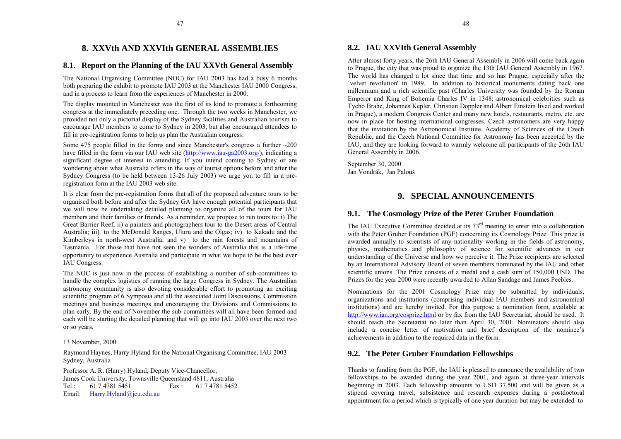## **8. XXVth AND XXVIth GENERAL ASSEMBLIES**

## <span id="page-24-0"></span>**8.1. Report on the Planning of the IAU XXVth General Assembly**

The National Organising Committee (NOC) for IAU 2003 has had a busy 6 months both preparing the exhibit to promote IAU 2003 at the Manchester IAU 2000 Congress, and in a process to learn from the experiences of Manchester in 2000.

The display mounted in Manchester was the first of its kind to promote a forthcoming congress at the immediately preceding one. Through the two weeks in Manchester, we provided not only a pictorial display of the Sydney facilities and Australian tourism to encourage IAU members to come to Sydney in 2003, but also encouraged attendees to fill in pre-registration forms to help us plan the Australian congress.

Some 475 people filled in the forms and since Manchester's congress a further  $\sim$ 200 have filled in the form via our IAU web site [\(http://www.iau-ga2003.org/\),](http://www.iau-ga2003.org/) indicating a significant degree of interest in attending. If you intend coming to Sydney or are wondering about what Australia offers in the way of tourist options before and after the Sydney Congress (to be held between 13-26 July 2003) we urge you to fill in a preregistration form at the IAU 2003 web site.

It is clear from the pre-registration forms that all of the proposed adventure tours to be organised both before and after the Sydney GA have enough potential participants that we will now be undertaking detailed planning to organize all of the tours for IAU members and their families or friends. As a reminder, we propose to run tours to: i) The Great Barrier Reef; ii) a painters and photographers tour to the Desert areas of Central Australia; iii) to the McDonald Ranges, Uluru and the Olgas; iv) to Kakadu and the Kimberleys in north-west Australia; and v) to the rain forests and mountains of Tasmania. For those that have not seen the wonders of Australia this is a life-timeopportunity to experience Australia and participate in what we hope to be the best ever IAU Congress.

The NOC is just now in the process of establishing a number of sub-committees to handle the complex logistics of running the large Congress in Sydney. The Australian astronomy community is also devoting considerable effort to promoting an exciting scientific program of 6 Symposia and all the associated Joint Discussions, Commission meetings and business meetings and encouraging the Divisions and Commissions to plan early. By the end of November the sub-committees will all have been formed and each will be starting the detailed planning that will go into IAU 2003 over the next two or so years.

### 13 November, 2000

Raymond Haynes, Harry Hyland for the National Organising Committee, IAU 2003 Sydney, Australia

Professor A. R. (Harry) Hyland, Deputy Vice-Chancellor, James Cook University, Townsville Queensland 4811, Australia Tel: 61 7 4781 5451 Fax: 61 7 4781 5452 Email: <u>[Harry.Hyland@jcu.edu.au](mailto:Harry.Hyland@jcu.edu.au)</u>

## **8.2. IAU XXVIth General Assembly**

After almost forty years, the 26th IAU General Assembly in 2006 will come back again to Prague, the city that was proud to organize the 13th IAU General Assembly in 1967. The world has changed a lot since that time and so has Prague, especially after the `velvet revolution' in 1989. In addition to historical monuments dating back one millennium and a rich scientific past (Charles University was founded by the Roman Emperor and King of Bohemia Charles IV in 1348; astronomical celebrities such as Tycho Brahe, Johannes Kepler, Christian Doppler and Albert Einstein lived and worked in Prague), a modern Congress Center and many new hotels, restaurants, metro, etc. are now in place for hosting international congresses. Czech astronomers are very happy that the invitation by the Astronomical Institute, Academy of Sciences of the Czech Republic, and the Czech National Committee for Astronomy has been accepted by the IAU, and they are looking forward to warmly welcome all participants of the 26th IAU General Assembly in 2006.

September 30, 2000 Jan Vondrák, Jan Palouš

## **9. SPECIAL ANNOUNCEMENTS**

## **9.1. The Cosmology Prize of the Peter Gruber Foundation**

The IAU Executive Committee decided at its  $73<sup>rd</sup>$  meeting to enter into a collaboration with the Peter Gruber Foundation (PGF) concerning its Cosmology Prize. This prize is awarded annually to scientists of any nationality working in the fields of astronomy, physics, mathematics and philosophy of science for scientific advances in our understanding of the Universe and how we perceive it. The Prize recipients are selected by an International Advisory Board of seven members nominated by the IAU and other scientific unions. The Prize consists of a medal and a cash sum of 150,000 USD. The Prizes for the year 2000 were recently awarded to Allan Sandage and James Peebles.

Nominations for the 2001 Cosmology Prize may be submitted by individuals, organizations and institutions (comprising individual IAU members and astronomical institutions) and are hereby invited. For this purpose a nomination form, available at [http://www.iau.org/cosprize.html o](http://www.iau.org/cosprize.html)r by fax from the IAU Secretariat, should be used. It should reach the Secretariat no later than April 30, 2001. Nominators should also include a concise letter of motivation and brief description of the nominee's achievements in addition to the required data in the form.

## **9.2. The Peter Gruber Foundation Fellowships**

Thanks to funding from the PGF, the IAU is pleased to announce the availability of two fellowships to be awarded during the year 2001, and again at three-year intervals beginning in 2003. Each fellowship amounts to USD 37,500 and will be given as a stipend covering travel, subsistence and research expenses during a postdoctoral appointment for a period which is typically of one year duration but may be extended to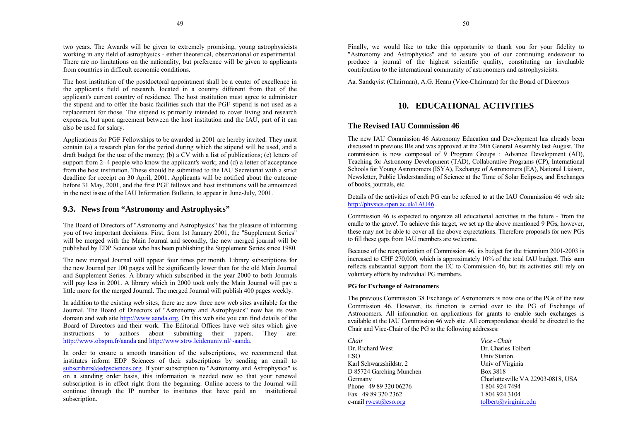<span id="page-25-0"></span>two years. The Awards will be given to extremely promising, young astrophysicists working in any field of astrophysics - either theoretical, observational or experimental. There are no limitations on the nationality, but preference will be given to applicants from countries in difficult economic conditions.

The host institution of the postdoctoral appointment shall be a center of excellence in the applicant's field of research, located in a country different from that of the applicant's current country of residence. The host institution must agree to administer the stipend and to offer the basic facilities such that the PGF stipend is not used as a replacement for those. The stipend is primarily intended to cover living and research expenses, but upon agreement between the host institution and the IAU, part of it can also be used for salary.

Applications for PGF Fellowships to be awarded in 2001 are hereby invited. They must contain (a) a research plan for the period during which the stipend will be used, and a draft budget for the use of the money; (b) a CV with a list of publications; (c) letters of support from 2–4 people who know the applicant's work; and (d) a letter of acceptance from the host institution. These should be submitted to the IAU Secretariat with a strictdeadline for receipt on 30 April, 2001. Applicants will be notified about the outcome before 31 May, 2001, and the first PGF fellows and host institutions will be announced in the next issue of the IAU Information Bulletin, to appear in June-July, 2001.

## **9.3. News from "Astronomy and Astrophysics"**

The Board of Directors of "Astronomy and Astrophysics" has the pleasure of informing you of two important decisions. First, from 1st January 2001, the "Supplement Series" will be merged with the Main Journal and secondly, the new merged journal will be published by EDP Sciences who has been publishing the Supplement Series since 1980.

The new merged Journal will appear four times per month. Library subscriptions for the new Journal per 100 pages will be significantly lower than for the old Main Journal and Supplement Series. A library which subscribed in the year 2000 to both Journals will pay less in 2001. A library which in 2000 took only the Main Journal will pay a little more for the merged Journal. The merged Journal will publish 400 pages weekly.

In addition to the existing web sites, there are now three new web sites available for the Journal. The Board of Directors of "Astronomy and Astrophysics" now has its own domain and web sit[e](http://www.aanda.org.) <http://www.aanda.org.> On this web site you can find details of the Board of Directors and their work. The Editorial Offices have web sites which give instructions to authors about submitting their papers. They are: <http://www.obspm.fr/aanda>and [http://www.strw.leidenuniv.nl/~aanda.](http://www.strw.leidenuniv.nl/~aanda)

In order to ensure a smooth transition of the subscriptions, we recommend that institutes inform EDP Sciences of their subscriptions by sending an email to [subscribers@edpsciences.org. I](mailto:subscribers@edpsciences.org)f your subscription to "Astronomy and Astrophysics" is on a standing order basis, this information is needed now so that your renewal subscription is in effect right from the beginning. Online access to the Journal will continue through the IP number to institutes that have paid an institutional subscription.

Finally, we would like to take this opportunity to thank you for your fidelity to "Astronomy and Astrophysics" and to assure you of our continuing endeavour to produce a journal of the highest scientific quality, constituting an invaluable contribution to the international community of astronomers and astrophysicists.

Aa. Sandqvist (Chairman), A.G. Hearn (Vice-Chairman) for the Board of Directors

## **10. EDUCATIONAL ACTIVITIES**

## **The Revised IAU Commission 46**

The new IAU Commission 46 Astronomy Education and Development has already been discussed in previous IBs and was approved at the 24th General Assembly last August. The commission is now composed of 9 Program Groups : Advance Development (AD), Teaching for Astronomy Development (TAD), Collaborative Programs (CP), International Schools for Young Astronomers (ISYA), Exchange of Astronomers (EA), National Liaison, Newsletter, Public Understanding of Science at the Time of Solar Eclipses, and Exchanges of books, journals, etc.

Details of the activities of each PG can be referred to at the IAU Commission 46 web site[http://physics.open.ac.uk/IAU46.](http://physics.open.ac.uk/IAU46)

Commission 46 is expected to organize all educational activities in the future - 'from the cradle to the grave'. To achieve this target, we set up the above mentioned 9 PGs, however, these may not be able to cover all the above expectations. Therefore proposals for new PGs to fill these gaps from IAU members are welcome.

Because of the reorganization of Commission 46, its budget for the triennium 2001-2003 is increased to CHF 270,000, which is approximately 10% of the total IAU budget. This sum reflects substantial support from the EC to Commission 46, but its activities still rely on voluntary efforts by individual PG members.

## **PG for Exchange of Astronomers**

The previous Commission 38 Exchange of Astronomers is now one of the PGs of the new Commission 46. However, its function is carried over to the PG of Exchange of Astronomers. All information on applications for grants to enable such exchanges is available at the IAU Commission 46 web site. All correspondence should be directed to the Chair and Vice-Chair of the PG to the following addresses:

| Chair                     | Vice - Chair           |
|---------------------------|------------------------|
| Dr. Richard West          | Dr. Charles Tolbert    |
| <b>ESO</b>                | <b>Univ Station</b>    |
| Karl Schwarzshildstr. 2   | Univ of Virginia       |
| D 85724 Garching Munchen  | Box 3818               |
| Germany                   | Charlottesville VA 229 |
| Phone 49 89 320 06276     | 1 804 924 7494         |
| Fax 49 89 320 2362        | 1 804 924 3104         |
| e-mail $rwest(a)$ eso.org | tolbert@virginia.edu   |

Germany Charlottesville VA 22903-0818, USA<br>Phone 49 89 320 06276 1 804 924 7494 1 804 924 7494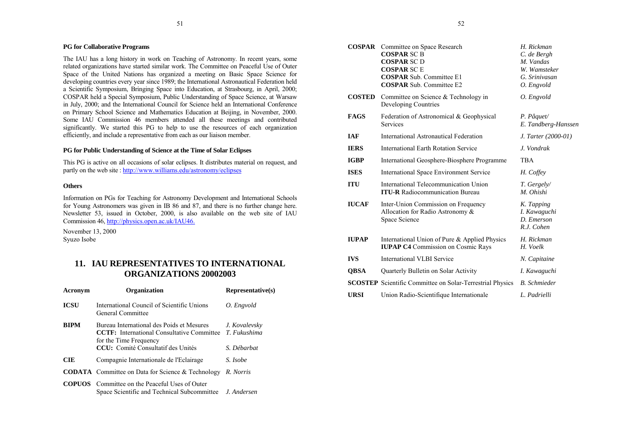## <span id="page-26-0"></span>**PG for Collaborative Programs**

The IAU has a long history in work on Teaching of Astronomy. In recent years, some related organizations have started similar work. The Committee on Peaceful Use of Outer Space of the United Nations has organized a meeting on Basic Space Science for developing countries every year since 1989; the International Astronautical Federation held a Scientific Symposium, Bringing Space into Education, at Strasbourg, in April, 2000; COSPAR held a Special Symposium, Public Understanding of Space Science, at Warsaw in July, 2000; and the International Council for Science held an International Conference on Primary School Science and Mathematics Education at Beijing, in November, 2000. Some IAU Commission 46 members attended all these meetings and contributed significantly. We started this PG to help to use the resources of each organization efficiently, and include a representative from each as our liaison member.

### **PG for Public Understanding of Science at the Time of Solar Eclipses**

This PG is active on all occasions of solar eclipses. It distributes material on request, and partly on the web site : <http://www.williams.edu/astronomy/eclipses>

#### **Others**

Information on PGs for Teaching for Astronomy Development and International Schools for Young Astronomers was given in IB 86 and 87, and there is no further change here. Newsletter 53, issued in October, 2000, is also available on the web site of IAU Commission 46,<http://physics.open.ac.uk/IAU46.>

November 13, 2000 Syuzo Isobe

## **11. IAU REPRESENTATIVES TO INTERNATIONALORGANIZATIONS 20002003**

| Acronym     | <b>Organization</b>                                                                                                                                                         | Representative(s)            |
|-------------|-----------------------------------------------------------------------------------------------------------------------------------------------------------------------------|------------------------------|
| <b>ICSU</b> | International Council of Scientific Unions<br>General Committee                                                                                                             | O. Engvold                   |
| <b>BIPM</b> | Bureau International des Poids et Mesures<br><b>CCTF:</b> International Consultative Committee T. Fukushima<br>for the Time Frequency<br>CCU: Comité Consultatif des Unités | J. Kovalevsky<br>S. Débarbat |
| <b>CIE</b>  | Compagnie Internationale de l'Eclairage                                                                                                                                     | S. Isobe                     |
|             | <b>CODATA</b> Committee on Data for Science & Technology                                                                                                                    | R. Norris                    |
|             | <b>COPUOS</b> Committee on the Peaceful Uses of Outer<br>Space Scientific and Technical Subcommittee J. Andersen                                                            |                              |

| <b>COSPAR</b> | Committee on Space Research<br><b>COSPAR SC B</b><br><b>COSPAR SCD</b><br><b>COSPAR SCE</b><br><b>COSPAR Sub. Committee E1</b><br><b>COSPAR Sub. Committee E2</b> | H. Rickman<br>C. de Bergh<br>M. Vandas<br>W. Wamsteker<br>G. Srinivasan<br>O. Engvold |
|---------------|-------------------------------------------------------------------------------------------------------------------------------------------------------------------|---------------------------------------------------------------------------------------|
| <b>COSTED</b> | Committee on Science $&$ Technology in<br>Developing Countries                                                                                                    | O. Engvold                                                                            |
| <b>FAGS</b>   | Federation of Astronomical & Geophysical<br><b>Services</b>                                                                                                       | $P.$ Pâquet/<br>E. Tandberg-Hanssen                                                   |
| <b>IAF</b>    | International Astronautical Federation                                                                                                                            | J. Tarter (2000-01)                                                                   |
| <b>IERS</b>   | <b>International Earth Rotation Service</b>                                                                                                                       | J. Vondrak                                                                            |
| <b>IGBP</b>   | International Geosphere-Biosphere Programme                                                                                                                       | <b>TBA</b>                                                                            |
| <b>ISES</b>   | International Space Environment Service                                                                                                                           | H. Coffey                                                                             |
| <b>ITU</b>    | International Telecommunication Union<br><b>ITU-R</b> Radiocommunication Bureau                                                                                   | T. Gergely/<br>M. Ohishi                                                              |
| <b>IUCAF</b>  | Inter-Union Commission on Frequency<br>Allocation for Radio Astronomy &<br>Space Science                                                                          | K. Tapping<br>I. Kawaguchi<br>D. Emerson<br>R.J. Cohen                                |
| <b>IUPAP</b>  | International Union of Pure & Applied Physics<br><b>IUPAP C4</b> Commission on Cosmic Rays                                                                        | H. Rickman<br>H. Voelk                                                                |
| <b>IVS</b>    | International VLBI Service                                                                                                                                        | N. Capitaine                                                                          |
| <b>QBSA</b>   | Quarterly Bulletin on Solar Activity                                                                                                                              | I. Kawaguchi                                                                          |
|               | <b>SCOSTEP</b> Scientific Committee on Solar-Terrestrial Physics                                                                                                  | <b>B.</b> Schmieder                                                                   |
| <b>URSI</b>   | Union Radio-Scientifique Internationale                                                                                                                           | L. Padrielli                                                                          |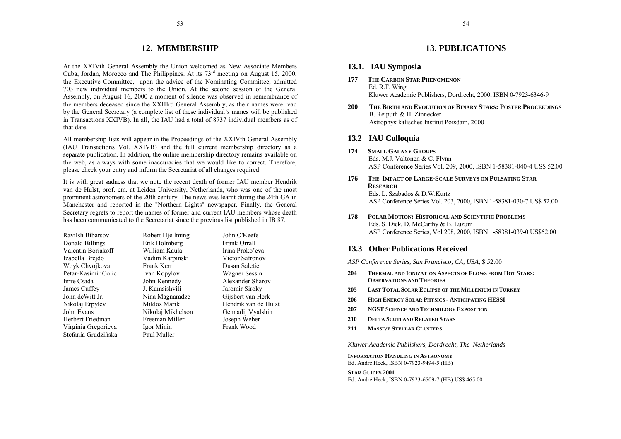## **12. MEMBERSHIP**

<span id="page-27-0"></span>At the XXIVth General Assembly the Union welcomed as New Associate Members Cuba, Jordan, Morocco and The Philippines. At its  $73<sup>rd</sup>$  meeting on August 15, 2000, the Executive Committee, upon the advice of the Nominating Committee, admitted 703 new individual members to the Union. At the second session of the General Assembly, on August 16, 2000 a moment of silence was observed in remembrance of the members deceased since the XXIIIrd General Assembly, as their names were read by the General Secretary (a complete list of these individual's names will be published in Transactions XXIVB). In all, the IAU had a total of 8737 individual members as of that date.

All membership lists will appear in the Proceedings of the XXIVth General Assembly (IAU Transactions Vol. XXIVB) and the full current membership directory as a separate publication. In addition, the online membership directory remains available on the web, as always with some inaccuracies that we would like to correct. Therefore, please check your entry and inform the Secretariat of all changes required.

It is with great sadness that we note the recent death of former IAU member Hendrik van de Hulst, prof. em. at Leiden University, Netherlands, who was one of the most prominent astronomers of the 20th century. The news was learnt during the 24th GA in Manchester and reported in the "Northern Lights" newspaper. Finally, the General Secretary regrets to report the names of former and current IAU members whose death has been communicated to the Secretariat since the previous list published in IB 87.

| Ravilsh Bibarsov    | Robert Hjellming  |  |
|---------------------|-------------------|--|
| Donald Billings     | Erik Holmberg     |  |
| Valentin Boriakoff  | William Kaula     |  |
| Izabella Breido     | Vadim Karpinski   |  |
| Woyk Chvojkova      | Frank Kerr        |  |
| Petar-Kasimir Colic | Ivan Kopylov      |  |
| Imre Csada          | John Kennedy      |  |
| James Cuffey        | J. Kumsishvili    |  |
| John deWitt Jr.     | Nina Magnaradze   |  |
| Nikolaj Erpylev     | Miklos Marik      |  |
| John Evans          | Nikolaj Mikhelson |  |
| Herbert Friedman    | Freeman Miller    |  |
| Virginia Gregorieva | Igor Minin        |  |
| Stefania Grudzińska | Paul Muller       |  |

John O'Keefe Erank Orrall Irina Proko'eva Victor Safronov Dusan Saletic Wagner Sessin Alexander Sharov Jaromir Siroky Gijsbert van Herk Hendrik van de Hulst Gennadij Vyalshin Joseph Weber Frank Wood

## **13. PUBLICATIONS**

## **13.1. IAU Symposia**

- **177 THE CARBON STAR PHENOMENON**Ed. R.F. Wing Kluwer Academic Publishers, Dordrecht, 2000, ISBN 0-7923-6346-9
- **200 THE BIRTH AND EVOLUTION OF BINARY STARS: POSTER PROCEEDINGS**B. Reiputh & H. Zinnecker Astrophysikalisches Institut Potsdam, 2000

## **13.2 IAU Colloquia**

- **174 SMALL GALAXY GROUPS**Eds. M.J. Valtonen & C. Flynn ASP Conference Series Vol. 209, 2000, ISBN 1-58381-040-4 US\$ 52.00
- **176 THE IMPACT OF LARGE-SCALE SURVEYS ON PULSATING STARRESEARCH**Eds. L. Szabados & D.W.KurtzASP Conference Series Vol. 203, 2000, ISBN 1-58381-030-7 US\$ 52.00
- **178 POLAR MOTION: HISTORICAL AND SCIENTIFIC PROBLEMS**Eds. S. Dick, D. McCarthy & B. Luzum ASP Conference Series, Vol 208, 2000, ISBN 1-58381-039-0 US\$52.00

## **13.3 Other Publications Received**

*ASP Conference Series, San Francisco, CA, USA,* \$ 52.00

- **204 THERMAL AND IONIZATION ASPECTS OF FLOWS FROM HOT STARS: OBSERVATIONS AND THEORIES**
- **205 LAST TOTAL SOLAR ECLIPSE OF THE MILLENIUM IN TURKEY**
- **206 HIGH ENERGY SOLAR PHYSICS ANTICIPATING HESSI**
- **207 NGST SCIENCE AND TECHNOLOGY EXPOSITION**
- **210 DELTA SCUTI AND RELATED STARS**
- **211 MASSIVE STELLAR CLUSTERS**

*Kluwer Academic Publishers, Dordrecht, The Netherlands*

**INFORMATION HANDLING IN ASTRONOMY**Ed. André Heck, ISBN 0-7923-9494-5 (HB)

**STAR GUIDES 2001**Ed. André Heck, ISBN 0-7923-6509-7 (HB) US\$ 465.00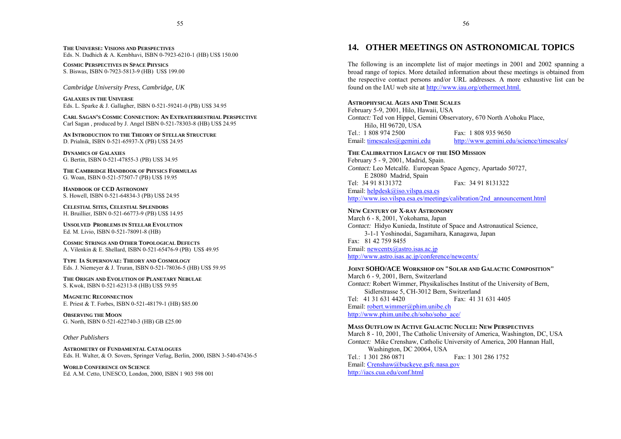<span id="page-28-0"></span>**THE UNIVERSE: VISIONS AND PERSPECTIVES**Eds. N. Dadhich & A. Kembhavi, ISBN 0-7923-6210-1 (HB) US\$ 150.00

**COSMIC PERSPECTIVES IN SPACE PHYSICS**S. Biswas, ISBN 0-7923-5813-9 (HB) US\$ 199.00

*Cambridge University Press, Cambridge, UK*

**GALAXIES IN THE UNIVERSE**Eds. L. Sparke & J. Gallagher, ISBN 0-521-59241-0 (PB) US\$ 34.95

**CARL SAGAN'S COSMIC CONNECTION: AN EXTRATERRESTRIAL PERSPECTIVE**Carl Sagan , produced by J. Angel ISBN 0-521-78303-8 (HB) US\$ 24.95

**AN INTRODUCTION TO THE THEORY OF STELLAR STRUCTURE**D. Prialnik, ISBN 0-521-65937-X (PB) US\$ 24.95

**DYNAMICS OF GALAXIES**G. Bertin, ISBN 0-521-47855-3 (PB) US\$ 34.95

**THE CAMBRIDGE HANDBOOK OF PHYSICS FORMULAS**G. Woan, ISBN 0-521-57507-7 (PB) US\$ 19.95

**HANDBOOK OF CCD ASTRONOMY**S. Howell, ISBN 0-521-64834-3 (PB) US\$ 24.95

**CELESTIAL SITES, CELESTIAL SPLENDORS** H. Bruillier, ISBN 0-521-66773-9 (PB) US\$ 14.95

**UNSOLVED PROBLEMS IN STELLAR EVOLUTION**Ed. M. Livio, ISBN 0-521-78091-8 (HB)

**COSMIC STRINGS AND OTHER TOPOLOGICAL DEFECTS**A. Vilenkin & E. Shellard, ISBN 0-521-65476-9 (PB) US\$ 49.95

**TYPE IA SUPERNOVAE: THEORY AND COSMOLOGY** Eds. J. Niemeyer & J. Truran, ISBN 0-521-78036-5 (HB) US\$ 59.95

**THE ORIGIN AND EVOLUTION OF PLANETARY NEBULAE**S. Kwok, ISBN 0-521-62313-8 (HB) US\$ 59.95

**MAGNETIC RECONNECTION**E. Priest & T. Forbes, ISBN 0-521-48179-1 (HB) \$85.00

**OBSERVING THE MOON**G. North, ISBN 0-521-622740-3 (HB) GB £25.00

#### *Other Publishers*

**ASTROMETRY OF FUNDAMENTAL CATALOGUES**Eds. H. Walter, & O. Sovers, Springer Verlag, Berlin, 2000, ISBN 3-540-67436-5

**WORLD CONFERENCE ON SCIENCE**Ed. A.M. Cetto, UNESCO, London, 2000, ISBN 1 903 598 001

## **14. OTHER MEETINGS ON ASTRONOMICAL TOPICS**

The following is an incomplete list of major meetings in 2001 and 2002 spanning a broad range of topics. More detailed information about these meetings is obtained from the respective contact persons and/or URL addresses. A more exhaustive list can be found on the IAU web site at [http://www.iau.org/othermeet.html.](http://www.iau.org/othermeet.html)

#### **ASTROPHYSICAL AGES AND TIME SCALES**

February 5-9, 2001, Hilo, Hawaii, USA *Contact:* Ted von Hippel, Gemini Observatory, 670 North A'ohoku Place, Hilo, HI 96720, USA Tel.: 1 808 974 2500 Fax: 1 808 935 9650 Email: timescales @gemini.edu [http://www.gemini.edu/science/timescales/](http://www.gemini.edu/science/timescales)

#### **THE CALIBRATTION LEGACY OF THE ISO MISSION**

February 5 - 9, 2001, Madrid, Spain. *Contact:* Leo Metcalfe. European Space Agency, Apartado 50727, E 28080 Madrid, Spain Tel: 34 91 8131372 Fax: 34 91 8131322Email: [helpdesk@iso.vilspa.esa.es](mailto:helpdesk@iso.vilspa.esa.es) http://www.jso.vilspa.esa.es/meetings/calibration/2nd\_announcement.html

#### **NEW CENTURY OF X-RAY ASTRONOMY**

March 6 - 8, 2001, Yokohama, Japan *Contact:* Hidyo Kunieda, Institute of Space and Astronautical Science, 3-1-1 Yoshinodai, Sagamihara, Kanagawa, Japan Fax: 81 42 759 8455Email: [newcentx@astro.isas.ac.jp](mailto:newcentx@astro.isas.ac.jp) <http://www.astro.isas.ac.jp/conference/newcentx/>

#### **JOINT SOHO/ACE WORKSHOP ON "SOLAR AND GALACTIC COMPOSITION"**

March 6 - 9, 2001, Bern, Switzerland *Contact:* Robert Wimmer, Physikalisches Institut of the University of Bern, Sidlerstrasse 5, CH-3012 Bern, Switzerland Tel: 41 31 631 4420 Fax: 41 31 631 4405Email: [robert.wimmer@phim.unibe.ch](mailto:robert.wimmer@phim.unibe.ch) [http://www.phim.unibe.ch/soho/soho\\_ace/](http://www.phim.unibe.ch/soho/soho_ace/)

#### **MASS OUTFLOW IN ACTIVE GALACTIC NUCLEI: NEW PERSPECTIVES**

March 8 - 10, 2001, The Catholic University of America, Washington, DC, USA *Contact:* Mike Crenshaw, Catholic University of America, 200 Hannan Hall, Washington, DC 20064, USA Tel.: 1 301 286 0871 Fax: 1 301 286 1752 Email: [Crenshaw@buckeye.gsfc.nasa.gov](mailto:Crenshaw@buckeye.gsfc.nasa.gov) <http://iacs.cua.edu/conf.html>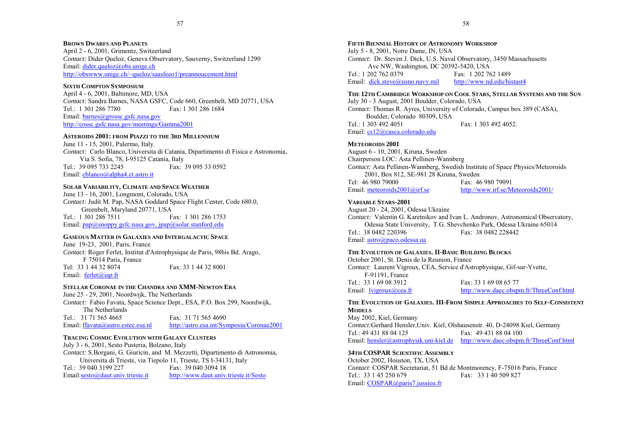#### **BROWN DWARFS AND PLANETS**

April 2 - 6, 2001, Grimentz, Switzerland *Contact:* Dider Queloz, Geneva Observatory, Sauverny, Switzerland 1290 Email: [dider.queloz@obs.unige.ch](mailto:dider.queloz@obs.unige.ch) <http://obswww.unige.ch/~queloz/saasfeeo1/preannoucement.html>

## **SIXTH COMPTON SYMPOSIUM**

April 4 - 6, 2001, Baltimore, MD, USA *Contact:* Sandra Barnes, NASA GSFC, Code 660, Greenbelt, MD 20771, USA Tel.: 1 301 286 7780 Fax: 1 301 286 1684 Email: [barnes@grossc.gsfc.nasa.gov](mailto:barnes@grossc.gsfc.nasa.gov) <http://cossc.gsfc.nasa.gov/meetings/Gamma2001>

## **ASTEROIDS 2001: FROM PIAZZI TO THE 3RD MILLENNIUM**

June 11 - 15, 2001, Palermo, Italy. *Contact:* Carlo Blanco, Universita di Catania, Dipartimento di Fisica e Astronomia, Via S. Sofia, 78, I-95125 Catania, Italy Tel.: 39 095 733 2245 Fax: 39 095 33 0592 Email: [cblanco@alpha4.ct.astro.it](mailto:cblanco@alpha4.ct.astro.it)

## **SOLAR VARIABILITY, CLIMATE AND SPACE WEATHER**

June 13 - 16, 2001, Longmont, Colorado, USA *Contact:* Judit M. Pap, NASA Goddard Space Flight Center, Code 680.0, Greenbelt, Maryland 20771, USA Tel.: 1 301 286 7511 Fax: 1 301 286 1753 Email: [pap@snoppy.gsfc.nasa.gov,](mailto:pap@snoppy.gsfc.nasa.gov) [jpap@solar.stanford.edu](mailto:jpap@solar.stanford.edu)

#### **GASEOUS MATTER IN GALAXIES AND INTERGALACTIC SPACE**

June 19-23, 2001, Paris, France *Contact:* Roger Ferlet, Institut d'Astrophysique de Paris, 98bis Bd. Arago, F 75014 Paris, France Tel: 33 1 44 32 8074 Fax: 33 1 44 32 8001

Email: [ferlet@iap.fr](mailto:ferlet@iap.fr)

## **STELLAR CORONAE IN THE CHANDRA AND XMM-NEWTON ERA**

June 25 - 29, 2001, Noordwijk, The Netherlands *Contact:* Fabio Favata, Space Science Dept., ESA, P.O. Box 299, Noordwijk, The NetherlandsTel.: 31 71 565 4665 Fax: 31 71 565 4690 Email: [ffavata@astro.estec.esa.nl](mailto:ffavata@astro.estec.esa.nl) <http://astro.esa.int/Symposia/Coronae2001>

## **TRACING COSMIC EVOLUTION WITH GALAXY CLUSTERS**

July 3 - 6, 2001, Sesto Pusteria, Bolzano, Italy *Contact:* S.Borgani, G. Giuricin, and M. Mezzetti, Dipartimento di Astronomia, Universita di Trieste, via Tiepolo 11, Trieste, TS I-34131, Italy<br>
Tel : 39 040 3199 227 Fax: 39 040 3094 18 Fax: 39 040 3094 18 Email:[sesto@daut.univ.trieste.it](mailto:sesto@daut.univ.trieste.it) <http://www.daut.univ.trieste.it/Sesto>

### **FIFTH BIENNIAL HISTORY OF ASTRONOMY WORKSHOP**

July 5 - 8, 2001, Notre Dame, IN, USA *Contact*: Dr. Steven J. Dick, U.S. Naval Observatory, 3450 Massachusetts Ave NW, Washington, DC 20392-5420, USA Tel.: 1 202 762 0379 Fax: 1 202 762 1489Email: [dick.steve@usno.navy.mil](mailto:dick.steve@usno.navy.mil) <http://www.nd.edu/histast4>

## **THE 12TH CAMBRIDGE WORKSHOP ON COOL STARS, STELLAR SYSTEMS AND THE SUN**

July 30 - 3 August, 2001 Boulder, Colorado, USA *Contact:* Thomas R. Ayres, University of Colorado, Campus box 389 (CASA), Boulder, Colorado 80309, USA Tel.: 1 303 492 4051 Fax: 1 303 492 4052. Email: [cs12@casca.colorado.edu](mailto:cs12@casca.colorado.edu)

## **METEOROIDS 2001**

August 6 - 10, 2001, Kiruna, Sweden Chairperson LOC: Asta Pellinen-Wannberg *Contact:* Asta Pellinen-Wannberg, Swedish Institute of Space Physics/Meteoroids 2001, Box 812, SE-981 28 Kiruna, Sweden Tel: 46 980 79000 Fax: 46 980 79091Email: [meteoroids2001@irf.se](mailto:meteoroids2001@irf.se) <http://www.irf.se/Meteoroids2001/>

## **VARIABLE STARS-2001**

August 20 - 24, 2001, Odessa Ukraine *Contact:* Valentin G. Karetnikov and Ivan L. Andronov, Astronomical Observatory, Odessa State University, T.G. Shevchenko Park, Odessa Ukraine 65014 Tel.: 38 0482 220396 Email: [astro@paco.odessa.ua](mailto:astro@paco.odessa.ua)

#### **THE EVOLUTION OF GALAXIES. II-BASIC BUILDING BLOCKS**

October 2001, St. Denis de la Reunion, France *Contact*: Laurent Vigroux, CEA, Service d'Astrophysique, Gif-sur-Yvette, F-91191, France Tel.: 33 1 69 08 3912 Fax: 33 1 69 08 65 77 Email: lyigroux@cea.fr <http://www.daec.obspm.fr/ThreeConf.html>

## **THE EVOLUTION OF GALAXIES. III-FROM SIMPLE APPROACHES TO SELF-CONSISTENTMODELS**

May 2002, Kiel, Germany *Contact:*Gerhard Hensler,Univ. Kiel, Olshausenstr. 40, D-24098 Kiel, Germany Tel.: 49 431 88 04 125 Fax: 49 431 88 04 100 Email: [hensler@astrophysik.uni-kiel.de](mailto:hensler@astrophysik.uni-kiel.de) <http://www.daec.obspm.fr/ThreeConf.html>

#### **34TH COSPAR SCIENTIFIC ASSEMBLY**

October 2002, Houston, TX, USA *Contact*: COSPAR Secretariat, 51 Bd de Montmorency, F-75016 Paris, France Tel.: 33 1 45 250 679 Fax: 33 1 40 509 827 Email: [COSPAR@paris7.jussieu.fr](mailto:COSPAR@paris7.jussieu.fr)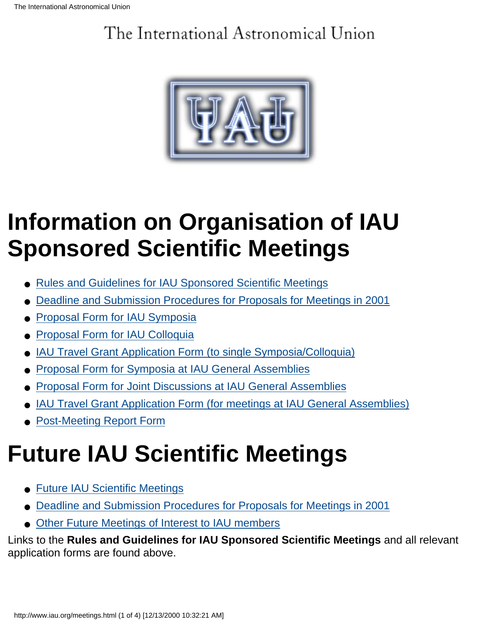## <span id="page-31-0"></span>The International Astronomical Union



## **Information on Organisation of IAU Sponsored Scientific Meetings**

- [Rules and Guidelines for IAU Sponsored Scientific Meetings](http://www.iau.org/meetrules.html)
- [Deadline and Submission Procedures for Proposals for Meetings in 2001](http://www.iau.org/deadline.html)
- [Proposal Form for IAU Symposia](http://www.iau.org/symprop.html)
- [Proposal Form for IAU Colloquia](http://www.iau.org/collprop.html)
- [IAU Travel Grant Application Form \(to single Symposia/Colloquia\)](http://www.iau.org/travappl.html)
- [Proposal Form for Symposia at IAU General Assemblies](http://www.iau.org/gasymprop.html)
- [Proposal Form for Joint Discussions at IAU General Assemblies](http://www.iau.org/jdprop.html)
- [IAU Travel Grant Application Form \(for meetings at IAU General Assemblies\)](http://www.iau.org/ib85/ga_travlapp.html)
- [Post-Meeting Report Form](http://www.iau.org/postmeet.html)

# **Future IAU Scientific Meetings**

- [Future IAU Scientific Meetings](http://www.iau.org/futmeet.html)
- [Deadline and Submission Procedures for Proposals for Meetings in 2001](http://www.iau.org/deadline.html)
- [Other Future Meetings of Interest to IAU members](http://www.iau.org/othermeet.html)

Links to the **Rules and Guidelines for IAU Sponsored Scientific Meetings** and all relevant application forms are found above.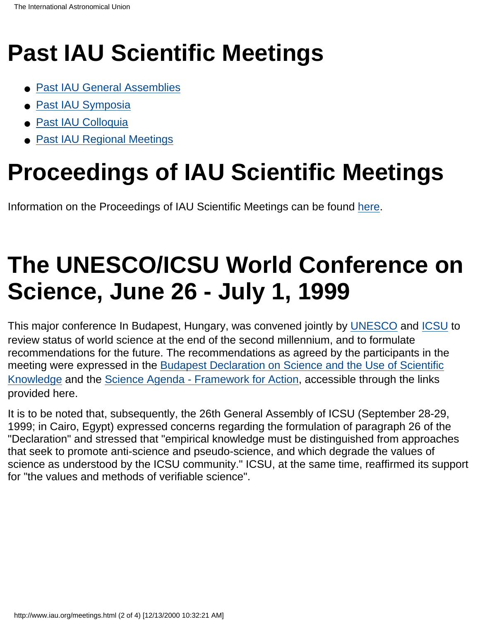## **Past IAU Scientific Meetings**

- [Past IAU General Assemblies](http://www.iau.org/pastgenass.html)
- [Past IAU Symposia](http://www.iau.org/pastsym.html)
- [Past IAU Colloquia](http://www.iau.org/pastcqm.html)
- [Past IAU Regional Meetings](http://www.iau.org/regmtg.html)

## **Proceedings of IAU Scientific Meetings**

Information on the Proceedings of IAU Scientific Meetings can be found [here.](http://www.iau.org/publicat.html)

## **The UNESCO/ICSU World Conference on Science, June 26 - July 1, 1999**

This major conference In Budapest, Hungary, was convened jointly by [UNESCO](http://www.unesco.org/) and [ICSU](http://www.icsu.org/) to review status of world science at the end of the second millennium, and to formulate recommendations for the future. The recommendations as agreed by the participants in the meeting were expressed in the [Budapest Declaration on Science and the Use of Scientific](http://www.unesco.org/science/wcs/eng/declaration_e.html) [Knowledge](http://www.unesco.org/science/wcs/eng/declaration_e.html) and the [Science Agenda - Framework for Action](http://www.unesco.org/science/wcs/eng/framework.html), accessible through the links provided here.

It is to be noted that, subsequently, the 26th General Assembly of ICSU (September 28-29, 1999; in Cairo, Egypt) expressed concerns regarding the formulation of paragraph 26 of the "Declaration" and stressed that "empirical knowledge must be distinguished from approaches that seek to promote anti-science and pseudo-science, and which degrade the values of science as understood by the ICSU community." ICSU, at the same time, reaffirmed its support for "the values and methods of verifiable science".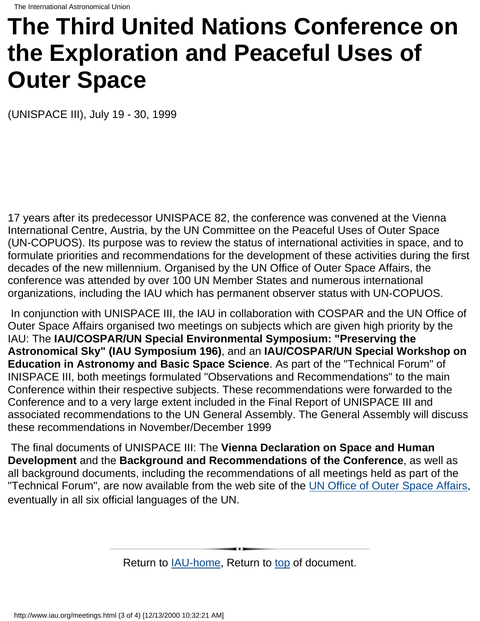## **The Third United Nations Conference on the Exploration and Peaceful Uses of Outer Space**

(UNISPACE III), July 19 - 30, 1999

17 years after its predecessor UNISPACE 82, the conference was convened at the Vienna International Centre, Austria, by the UN Committee on the Peaceful Uses of Outer Space (UN-COPUOS). Its purpose was to review the status of international activities in space, and to formulate priorities and recommendations for the development of these activities during the first decades of the new millennium. Organised by the UN Office of Outer Space Affairs, the conference was attended by over 100 UN Member States and numerous international organizations, including the IAU which has permanent observer status with UN-COPUOS.

 In conjunction with UNISPACE III, the IAU in collaboration with COSPAR and the UN Office of Outer Space Affairs organised two meetings on subjects which are given high priority by the IAU: The **IAU/COSPAR/UN Special Environmental Symposium: "Preserving the Astronomical Sky" (IAU Symposium 196)**, and an **IAU/COSPAR/UN Special Workshop on Education in Astronomy and Basic Space Science**. As part of the "Technical Forum" of INISPACE III, both meetings formulated "Observations and Recommendations" to the main Conference within their respective subjects. These recommendations were forwarded to the Conference and to a very large extent included in the Final Report of UNISPACE III and associated recommendations to the UN General Assembly. The General Assembly will discuss these recommendations in November/December 1999

 The final documents of UNISPACE III: The **Vienna Declaration on Space and Human Development** and the **Background and Recommendations of the Conference**, as well as all background documents, including the recommendations of all meetings held as part of the "Technical Forum", are now available from the web site of the [UN Office of Outer Space Affairs](http://www.un.or.at/OOSA/), eventually in all six official languages of the UN.

Return to [IAU-home](http://www.iau.org/index.html), Return to [top](#page-31-0) of document.